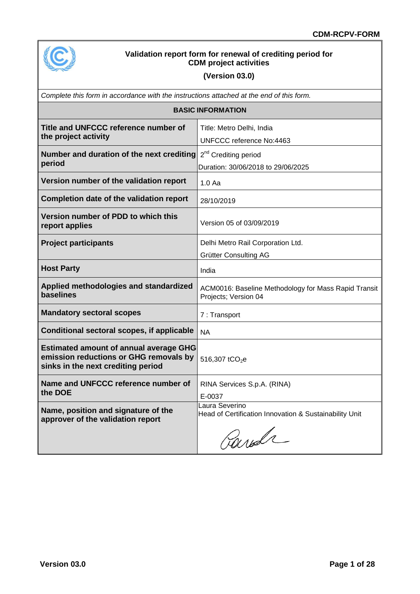

### **Validation report form for renewal of crediting period for CDM project activities**

### **(Version 03.0)**

|                                                                                                                               | Complete this form in accordance with the instructions attached at the end of this form. |  |  |  |  |
|-------------------------------------------------------------------------------------------------------------------------------|------------------------------------------------------------------------------------------|--|--|--|--|
|                                                                                                                               | <b>BASIC INFORMATION</b>                                                                 |  |  |  |  |
| Title and UNFCCC reference number of<br>the project activity                                                                  | Title: Metro Delhi, India<br>UNFCCC reference No:4463                                    |  |  |  |  |
| Number and duration of the next crediting<br>period                                                                           | 2 <sup>nd</sup> Crediting period<br>Duration: 30/06/2018 to 29/06/2025                   |  |  |  |  |
| Version number of the validation report                                                                                       | $1.0$ Aa                                                                                 |  |  |  |  |
| Completion date of the validation report                                                                                      | 28/10/2019                                                                               |  |  |  |  |
| Version number of PDD to which this<br>report applies                                                                         | Version 05 of 03/09/2019                                                                 |  |  |  |  |
| <b>Project participants</b>                                                                                                   | Delhi Metro Rail Corporation Ltd.<br>Grütter Consulting AG                               |  |  |  |  |
| <b>Host Party</b>                                                                                                             | India                                                                                    |  |  |  |  |
| Applied methodologies and standardized<br>baselines                                                                           | ACM0016: Baseline Methodology for Mass Rapid Transit<br>Projects; Version 04             |  |  |  |  |
| <b>Mandatory sectoral scopes</b>                                                                                              | 7: Transport                                                                             |  |  |  |  |
| Conditional sectoral scopes, if applicable                                                                                    | <b>NA</b>                                                                                |  |  |  |  |
| <b>Estimated amount of annual average GHG</b><br>emission reductions or GHG removals by<br>sinks in the next crediting period | 516,307 tCO <sub>2</sub> e                                                               |  |  |  |  |
| Name and UNFCCC reference number of<br>the DOE                                                                                | RINA Services S.p.A. (RINA)<br>E-0037                                                    |  |  |  |  |
| Name, position and signature of the<br>approver of the validation report                                                      | Laura Severino<br>Head of Certification Innovation & Sustainability Unit<br>Parida       |  |  |  |  |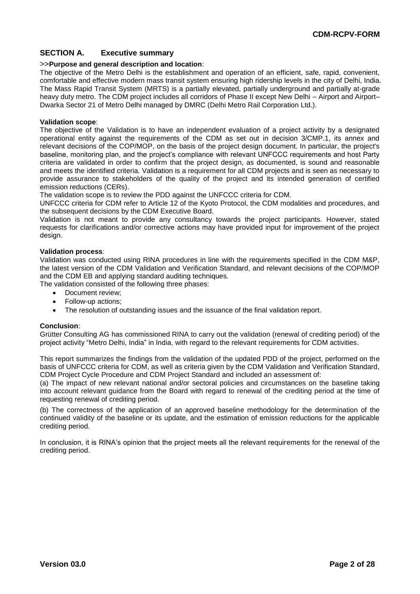#### **SECTION A. Executive summary**

#### >>**Purpose and general description and location**:

The objective of the Metro Delhi is the establishment and operation of an efficient, safe, rapid, convenient, comfortable and effective modern mass transit system ensuring high ridership levels in the city of Delhi, India. The Mass Rapid Transit System (MRTS) is a partially elevated, partially underground and partially at-grade heavy duty metro. The CDM project includes all corridors of Phase II except New Delhi – Airport and Airport– Dwarka Sector 21 of Metro Delhi managed by DMRC (Delhi Metro Rail Corporation Ltd.).

#### **Validation scope**:

The objective of the Validation is to have an independent evaluation of a project activity by a designated operational entity against the requirements of the CDM as set out in decision 3/CMP.1, its annex and relevant decisions of the COP/MOP, on the basis of the project design document. In particular, the project's baseline, monitoring plan, and the project's compliance with relevant UNFCCC requirements and host Party criteria are validated in order to confirm that the project design, as documented, is sound and reasonable and meets the identified criteria. Validation is a requirement for all CDM projects and is seen as necessary to provide assurance to stakeholders of the quality of the project and its intended generation of certified emission reductions (CERs).

The validation scope is to review the PDD against the UNFCCC criteria for CDM.

UNFCCC criteria for CDM refer to Article 12 of the Kyoto Protocol, the CDM modalities and procedures, and the subsequent decisions by the CDM Executive Board.

Validation is not meant to provide any consultancy towards the project participants. However, stated requests for clarifications and/or corrective actions may have provided input for improvement of the project design.

#### **Validation process**:

Validation was conducted using RINA procedures in line with the requirements specified in the CDM M&P, the latest version of the CDM Validation and Verification Standard, and relevant decisions of the COP/MOP and the CDM EB and applying standard auditing techniques.

The validation consisted of the following three phases:

- Document review:
- Follow-up actions;
- The resolution of outstanding issues and the issuance of the final validation report.

#### **Conclusion**:

Grütter Consulting AG has commissioned RINA to carry out the validation (renewal of crediting period) of the project activity "Metro Delhi, India" in India, with regard to the relevant requirements for CDM activities.

This report summarizes the findings from the validation of the updated PDD of the project, performed on the basis of UNFCCC criteria for CDM, as well as criteria given by the CDM Validation and Verification Standard, CDM Project Cycle Procedure and CDM Project Standard and included an assessment of:

(a) The impact of new relevant national and/or sectoral policies and circumstances on the baseline taking into account relevant guidance from the Board with regard to renewal of the crediting period at the time of requesting renewal of crediting period.

(b) The correctness of the application of an approved baseline methodology for the determination of the continued validity of the baseline or its update, and the estimation of emission reductions for the applicable crediting period.

In conclusion, it is RINA's opinion that the project meets all the relevant requirements for the renewal of the crediting period.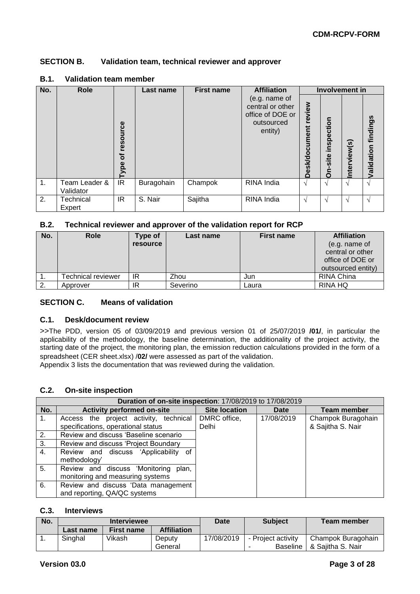#### **SECTION B. Validation team, technical reviewer and approver**

| No. | <b>Role</b>                |                                         | Last name  | <b>First name</b> | <b>Affiliation</b>                                                             |                                | <b>Involvement in</b>   |              |                     |
|-----|----------------------------|-----------------------------------------|------------|-------------------|--------------------------------------------------------------------------------|--------------------------------|-------------------------|--------------|---------------------|
|     |                            | resource<br>$\overline{\sigma}$<br>Type |            |                   | (e.g. name of<br>central or other<br>office of DOE or<br>outsourced<br>entity) | review<br><b>Desk/document</b> | inspection<br>site<br>Ō | Interview(s) | /alidation findings |
| 1.  | Team Leader &<br>Validator | IR.                                     | Buragohain | Champok           | RINA India                                                                     | $\mathcal{N}$                  | $\sim$                  | N            |                     |
| 2.  | Technical<br>Expert        | IR                                      | S. Nair    | Sajitha           | RINA India                                                                     | $\mathcal{N}$                  | $\mathcal{N}$           | N            |                     |

#### **B.1. Validation team member**

#### **B.2. Technical reviewer and approver of the validation report for RCP**

| No. | <b>Role</b>        | Type of<br><b>resource</b> | Last name | <b>First name</b> | <b>Affiliation</b><br>(e.g. name of<br>central or other<br>office of DOE or<br>outsourced entity) |
|-----|--------------------|----------------------------|-----------|-------------------|---------------------------------------------------------------------------------------------------|
|     | Technical reviewer | IR                         | Zhou      | Jun               | RINA China                                                                                        |
| 2.  | Approver           | ΙR                         | Severino  | Laura             | RINA HQ                                                                                           |

#### **SECTION C. Means of validation**

#### **C.1. Desk/document review**

>>The PDD, version 05 of 03/09/2019 and previous version 01 of 25/07/2019 **/01/**, in particular the applicability of the methodology, the baseline determination, the additionality of the project activity, the starting date of the project, the monitoring plan, the emission reduction calculations provided in the form of a spreadsheet (CER sheet.xlsx) /**02/** were assessed as part of the validation.

Appendix 3 lists the documentation that was reviewed during the validation.

#### **C.2. On-site inspection**

|     | Duration of on-site inspection: 17/08/2019 to 17/08/2019 |                      |            |                    |
|-----|----------------------------------------------------------|----------------------|------------|--------------------|
| No. | <b>Activity performed on-site</b>                        | <b>Site location</b> | Date       | <b>Team member</b> |
| 1.  | Access the project activity, technical                   | DMRC office,         | 17/08/2019 | Champok Buragohain |
|     | specifications, operational status                       | Delhi                |            | & Sajitha S. Nair  |
| 2.  | Review and discuss 'Baseline scenario                    |                      |            |                    |
| 3.  | Review and discuss 'Project Boundary                     |                      |            |                    |
| 4.  | Review and discuss 'Applicability of                     |                      |            |                    |
|     | methodology'                                             |                      |            |                    |
| 5.  | Review and discuss 'Monitoring<br>plan,                  |                      |            |                    |
|     | monitoring and measuring systems                         |                      |            |                    |
| 6.  | Review and discuss 'Data management                      |                      |            |                    |
|     | and reporting, QA/QC systems                             |                      |            |                    |

#### **C.3. Interviews**

| No. | <b>Interviewee</b> |            | <b>Date</b>        | <b>Subject</b> | Team member        |                    |
|-----|--------------------|------------|--------------------|----------------|--------------------|--------------------|
|     | Last name          | First name | <b>Affiliation</b> |                |                    |                    |
|     | Singhal            | Vikash     | Deputy             | 17/08/2019     | - Project activity | Champok Buragohain |
|     |                    |            | General            |                | Baseline           | 8. Sajitha S. Nair |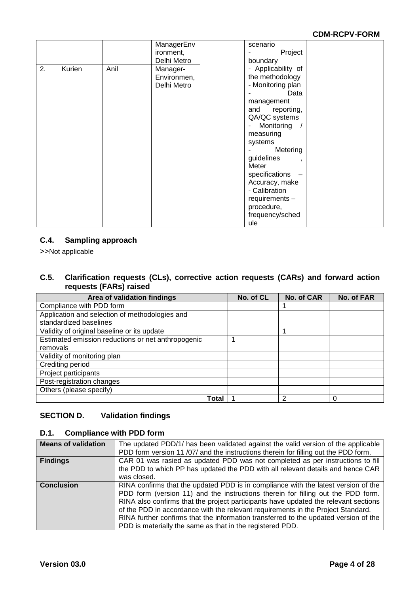|    |        |      | ManagerEnv  | scenario                     |  |
|----|--------|------|-------------|------------------------------|--|
|    |        |      | ironment,   | Project                      |  |
|    |        |      |             |                              |  |
|    |        |      | Delhi Metro | boundary                     |  |
| 2. | Kurien | Anil | Manager-    | - Applicability of           |  |
|    |        |      | Environmen, | the methodology              |  |
|    |        |      | Delhi Metro | - Monitoring plan            |  |
|    |        |      |             | Data                         |  |
|    |        |      |             | management                   |  |
|    |        |      |             | and reporting,               |  |
|    |        |      |             | QA/QC systems                |  |
|    |        |      |             | Monitoring /<br>$\sim$       |  |
|    |        |      |             | measuring                    |  |
|    |        |      |             | systems                      |  |
|    |        |      |             | Metering                     |  |
|    |        |      |             | guidelines<br>$\overline{1}$ |  |
|    |        |      |             | Meter                        |  |
|    |        |      |             | specifications               |  |
|    |        |      |             | Accuracy, make               |  |
|    |        |      |             | - Calibration                |  |
|    |        |      |             | requirements -               |  |
|    |        |      |             | procedure,                   |  |
|    |        |      |             | frequency/sched              |  |
|    |        |      |             | ule                          |  |

#### **C.4. Sampling approach**

>>Not applicable

#### **C.5. Clarification requests (CLs), corrective action requests (CARs) and forward action requests (FARs) raised**

| Area of validation findings                        | No. of CL | No. of CAR | No. of FAR |
|----------------------------------------------------|-----------|------------|------------|
| Compliance with PDD form                           |           |            |            |
| Application and selection of methodologies and     |           |            |            |
| standardized baselines                             |           |            |            |
| Validity of original baseline or its update        |           |            |            |
| Estimated emission reductions or net anthropogenic |           |            |            |
| removals                                           |           |            |            |
| Validity of monitoring plan                        |           |            |            |
| Crediting period                                   |           |            |            |
| Project participants                               |           |            |            |
| Post-registration changes                          |           |            |            |
| Others (please specify)                            |           |            |            |
| Total                                              |           | 2          | 0          |

#### **SECTION D. Validation findings**

#### **D.1. Compliance with PDD form**

| <b>Means of validation</b> | The updated PDD/1/ has been validated against the valid version of the applicable<br>PDD form version 11 /07/ and the instructions therein for filling out the PDD form.                                                                                                                                                                                                                                                                                                                               |
|----------------------------|--------------------------------------------------------------------------------------------------------------------------------------------------------------------------------------------------------------------------------------------------------------------------------------------------------------------------------------------------------------------------------------------------------------------------------------------------------------------------------------------------------|
| <b>Findings</b>            | CAR 01 was rasied as updated PDD was not completed as per instructions to fill<br>the PDD to which PP has updated the PDD with all relevant details and hence CAR<br>was closed.                                                                                                                                                                                                                                                                                                                       |
| <b>Conclusion</b>          | RINA confirms that the updated PDD is in compliance with the latest version of the<br>PDD form (version 11) and the instructions therein for filling out the PDD form.<br>RINA also confirms that the project participants have updated the relevant sections<br>of the PDD in accordance with the relevant requirements in the Project Standard.<br>RINA further confirms that the information transferred to the updated version of the<br>PDD is materially the same as that in the registered PDD. |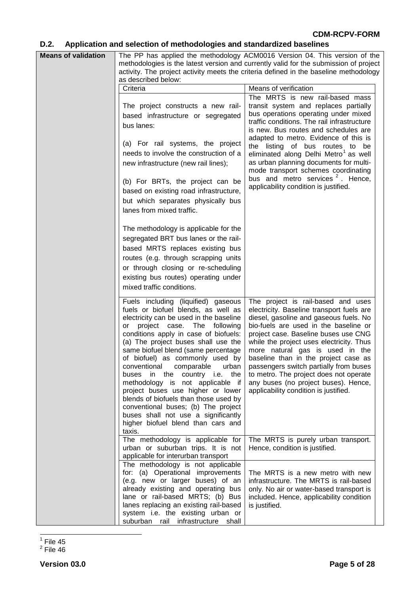## **D.2. Application and selection of methodologies and standardized baselines**

| <b>Means of validation</b><br>The PP has applied the methodology ACM0016 Version 04. This version of the<br>methodologies is the latest version and currently valid for the submission of project |                                                                                                                                                                                                                                                                                                                                                                                                                                                                                                                                                                                                                                              |                                                                                                                                                                                                                                                                                                                                                                                                                                                                                                                       |  |  |  |
|---------------------------------------------------------------------------------------------------------------------------------------------------------------------------------------------------|----------------------------------------------------------------------------------------------------------------------------------------------------------------------------------------------------------------------------------------------------------------------------------------------------------------------------------------------------------------------------------------------------------------------------------------------------------------------------------------------------------------------------------------------------------------------------------------------------------------------------------------------|-----------------------------------------------------------------------------------------------------------------------------------------------------------------------------------------------------------------------------------------------------------------------------------------------------------------------------------------------------------------------------------------------------------------------------------------------------------------------------------------------------------------------|--|--|--|
|                                                                                                                                                                                                   |                                                                                                                                                                                                                                                                                                                                                                                                                                                                                                                                                                                                                                              | activity. The project activity meets the criteria defined in the baseline methodology                                                                                                                                                                                                                                                                                                                                                                                                                                 |  |  |  |
|                                                                                                                                                                                                   | as described below:                                                                                                                                                                                                                                                                                                                                                                                                                                                                                                                                                                                                                          |                                                                                                                                                                                                                                                                                                                                                                                                                                                                                                                       |  |  |  |
|                                                                                                                                                                                                   | Criteria                                                                                                                                                                                                                                                                                                                                                                                                                                                                                                                                                                                                                                     | Means of verification                                                                                                                                                                                                                                                                                                                                                                                                                                                                                                 |  |  |  |
|                                                                                                                                                                                                   | The project constructs a new rail-<br>based infrastructure or segregated<br>bus lanes:<br>(a) For rail systems, the project<br>needs to involve the construction of a<br>new infrastructure (new rail lines);<br>(b) For BRTs, the project can be<br>based on existing road infrastructure,<br>but which separates physically bus                                                                                                                                                                                                                                                                                                            | The MRTS is new rail-based mass<br>transit system and replaces partially<br>bus operations operating under mixed<br>traffic conditions. The rail infrastructure<br>is new. Bus routes and schedules are<br>adapted to metro. Evidence of this is<br>the listing of bus routes to<br>be<br>eliminated along Delhi Metro <sup>1</sup> as well<br>as urban planning documents for multi-<br>mode transport schemes coordinating<br>bus and metro services <sup>2</sup> . Hence,<br>applicability condition is justified. |  |  |  |
|                                                                                                                                                                                                   | lanes from mixed traffic.<br>The methodology is applicable for the<br>segregated BRT bus lanes or the rail-<br>based MRTS replaces existing bus<br>routes (e.g. through scrapping units<br>or through closing or re-scheduling<br>existing bus routes) operating under<br>mixed traffic conditions.                                                                                                                                                                                                                                                                                                                                          |                                                                                                                                                                                                                                                                                                                                                                                                                                                                                                                       |  |  |  |
|                                                                                                                                                                                                   | Fuels including (liquified) gaseous<br>fuels or biofuel blends, as well as<br>electricity can be used in the baseline<br>project case. The following<br>or<br>conditions apply in case of biofuels:<br>(a) The project buses shall use the<br>same biofuel blend (same percentage<br>of biofuel) as commonly used by<br>conventional<br>comparable<br>urban<br>buses in the country i.e. the<br>methodology is not applicable if<br>project buses use higher or lower<br>blends of biofuels than those used by<br>conventional buses; (b) The project<br>buses shall not use a significantly<br>higher biofuel blend than cars and<br>taxis. | The project is rail-based and uses<br>electricity. Baseline transport fuels are<br>diesel, gasoline and gaseous fuels. No<br>bio-fuels are used in the baseline or<br>project case. Baseline buses use CNG<br>while the project uses electricity. Thus<br>more natural gas is used in the<br>baseline than in the project case as<br>passengers switch partially from buses<br>to metro. The project does not operate<br>any buses (no project buses). Hence,<br>applicability condition is justified.                |  |  |  |
|                                                                                                                                                                                                   | The methodology is applicable for<br>urban or suburban trips. It is not<br>applicable for interurban transport                                                                                                                                                                                                                                                                                                                                                                                                                                                                                                                               | The MRTS is purely urban transport.<br>Hence, condition is justified.                                                                                                                                                                                                                                                                                                                                                                                                                                                 |  |  |  |
|                                                                                                                                                                                                   | The methodology is not applicable<br>for: (a) Operational improvements<br>(e.g. new or larger buses) of an<br>already existing and operating bus<br>lane or rail-based MRTS; (b) Bus<br>lanes replacing an existing rail-based<br>system i.e. the existing urban or<br>suburban rail infrastructure shall                                                                                                                                                                                                                                                                                                                                    | The MRTS is a new metro with new<br>infrastructure. The MRTS is rail-based<br>only. No air or water-based transport is<br>included. Hence, applicability condition<br>is justified.                                                                                                                                                                                                                                                                                                                                   |  |  |  |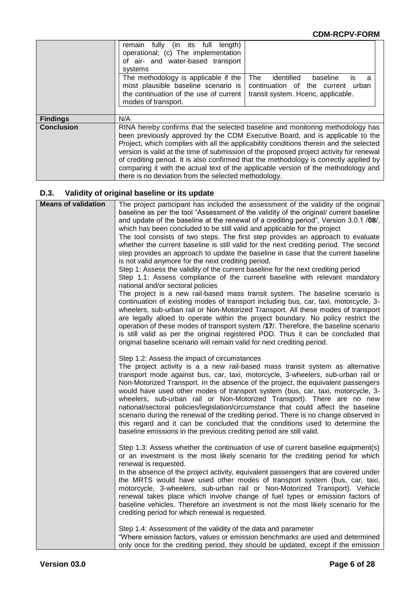|                   | remain fully (in its full<br>length)<br>operational; (c) The implementation<br>of air- and water-based transport<br>systems<br>The methodology is applicable if the<br>most plausible baseline scenario is<br>the continuation of the use of current<br>modes of transport. | identified<br>The<br>baseline<br>İS<br>a<br>continuation of the current<br>urban<br>transit system. Hcenc, applicable.                                                                                                                                                                                                                                                                                                                                                                                                               |
|-------------------|-----------------------------------------------------------------------------------------------------------------------------------------------------------------------------------------------------------------------------------------------------------------------------|--------------------------------------------------------------------------------------------------------------------------------------------------------------------------------------------------------------------------------------------------------------------------------------------------------------------------------------------------------------------------------------------------------------------------------------------------------------------------------------------------------------------------------------|
| <b>Findings</b>   | N/A                                                                                                                                                                                                                                                                         |                                                                                                                                                                                                                                                                                                                                                                                                                                                                                                                                      |
| <b>Conclusion</b> | there is no deviation from the selected methodology.                                                                                                                                                                                                                        | RINA hereby confirms that the selected baseline and monitoring methodology has<br>been previously approved by the CDM Executive Board, and is applicable to the<br>Project, which complies with all the applicability conditions therein and the selected<br>version is valid at the time of submission of the proposed project activity for renewal<br>of crediting period. It is also confirmed that the methodology is correctly applied by<br>comparing it with the actual text of the applicable version of the methodology and |

## **D.3. Validity of original baseline or its update**

| <b>Means of validation</b> | The project participant has included the assessment of the validity of the original                                                                                    |
|----------------------------|------------------------------------------------------------------------------------------------------------------------------------------------------------------------|
|                            | baseline as per the tool "Assessment of the validity of the original/ current baseline                                                                                 |
|                            | and update of the baseline at the renewal of a crediting period", Version 3.0.1 /08/,                                                                                  |
|                            | which has been concluded to be still valid and applicable for the project                                                                                              |
|                            | The tool consists of two steps. The first step provides an approach to evaluate                                                                                        |
|                            | whether the current baseline is still valid for the next crediting period. The second                                                                                  |
|                            | step provides an approach to update the baseline in case that the current baseline                                                                                     |
|                            | is not valid anymore for the next crediting period.                                                                                                                    |
|                            | Step 1: Assess the validity of the current baseline for the next crediting period                                                                                      |
|                            | Step 1.1: Assess compliance of the current baseline with relevant mandatory                                                                                            |
|                            | national and/or sectoral policies                                                                                                                                      |
|                            | The project is a new rail-based mass transit system. The baseline scenario is                                                                                          |
|                            |                                                                                                                                                                        |
|                            | continuation of existing modes of transport including bus, car, taxi, motorcycle, 3-                                                                                   |
|                            | wheelers, sub-urban rail or Non-Motorized Transport. All these modes of transport<br>are legally alloed to operate within the project boundary. No policy restrict the |
|                            | operation of these modes of transport system /17/. Therefore, the baseline scenario                                                                                    |
|                            | is still valid as per the original registered PDD. Thus it can be concluded that                                                                                       |
|                            | original baseline scenario will remain valid for next crediting period.                                                                                                |
|                            |                                                                                                                                                                        |
|                            | Step 1.2: Assess the impact of circumstances                                                                                                                           |
|                            | The project activity is a a new rail-based mass transit system as alternative                                                                                          |
|                            | transport mode against bus, car, taxi, motorcycle, 3-wheelers, sub-urban rail or                                                                                       |
|                            | Non-Motorized Transport. In the absence of the project, the equivalent passengers                                                                                      |
|                            | would have used other modes of transport system (bus, car, taxi, motorcycle, 3-                                                                                        |
|                            | wheelers, sub-urban rail or Non-Motorized Transport). There are no new                                                                                                 |
|                            | national/sectoral policies/legislation/circumstance that could affect the baseline                                                                                     |
|                            | scenario during the renewal of the crediting period. There is no change observed in                                                                                    |
|                            | this regard and it can be concluded that the conditions used to determine the                                                                                          |
|                            | baseline emissions in the previous crediting period are still valid.                                                                                                   |
|                            | Step 1.3: Assess whether the continuation of use of current baseline equipment(s)                                                                                      |
|                            | or an investment is the most likely scenario for the crediting period for which                                                                                        |
|                            | renewal is requested.                                                                                                                                                  |
|                            | In the absence of the project activity, equivalent passengers that are covered under                                                                                   |
|                            | the MRTS would have used other modes of transport system (bus, car, taxi,                                                                                              |
|                            | motorcycle, 3-wheelers, sub-urban rail or Non-Motorized Transport). Vehicle                                                                                            |
|                            | renewal takes place which involve change of fuel types or emission factors of                                                                                          |
|                            | baseline vehicles. Therefore an investment is not the most likely scenario for the                                                                                     |
|                            | crediting period for which renewal is requested.                                                                                                                       |
|                            |                                                                                                                                                                        |
|                            | Step 1.4: Assessment of the validity of the data and parameter                                                                                                         |
|                            | "Where emission factors, values or emission benchmarks are used and determined                                                                                         |
|                            | only once for the crediting period, they should be updated, except if the emission                                                                                     |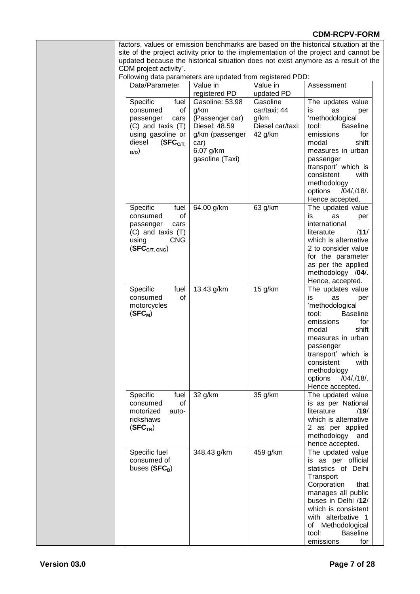factors, values or emission benchmarks are based on the historical situation at the site of the project activity prior to the implementation of the project and cannot be updated because the historical situation does not exist anymore as a result of the CDM project activity".

Following data parameters are updated from registered PDD:

| Data/Parameter                                                                                                                                      | Value in<br>registered PD                                                                                              | Value in<br>updated PD                                          | Assessment                                                                                                                                                                                                                                                                |
|-----------------------------------------------------------------------------------------------------------------------------------------------------|------------------------------------------------------------------------------------------------------------------------|-----------------------------------------------------------------|---------------------------------------------------------------------------------------------------------------------------------------------------------------------------------------------------------------------------------------------------------------------------|
| Specific<br>fuel<br>consumed<br>of<br>passenger<br>cars<br>$(C)$ and taxis $(T)$<br>using gasoline or<br>diesel<br>(SFC <sub>C/T</sub> )<br>$_{GD}$ | Gasoline: 53.98<br>g/km<br>(Passenger car)<br>Diesel: 48.59<br>g/km (passenger<br>car)<br>6.07 g/km<br>gasoline (Taxi) | Gasoline<br>car/taxi: 44<br>g/km<br>Diesel car/taxi:<br>42 g/km | The updates value<br>is.<br>as<br>per<br>'methodological<br><b>Baseline</b><br>tool:<br>emissions<br>for<br>shift<br>modal<br>measures in urban<br>passenger<br>transport' which is<br>consistent<br>with<br>methodology<br>options<br>/04/,/18/.<br>Hence accepted.      |
| Specific<br>fuel<br>οf<br>consumed<br>passenger<br>cars<br>$(C)$ and taxis $(T)$<br><b>CNG</b><br>using<br>(SFC <sub>CT, CNG</sub> )                | 64.00 g/km                                                                                                             | 63 g/km                                                         | The updated value<br>is<br>as<br>per<br>international<br>/11/<br>literatute<br>which is alternative<br>2 to consider value<br>for the parameter<br>as per the applied<br>methodology /04/.<br>Hence, accepted.                                                            |
| Specific<br>fuel<br>consumed<br>of<br>motorcycles<br>$(SFC_M)$                                                                                      | 13.43 g/km                                                                                                             | 15 $g/km$                                                       | The updates value<br>is<br>as<br>per<br>'methodological<br><b>Baseline</b><br>tool:<br>emissions<br>for<br>shift<br>modal<br>measures in urban<br>passenger<br>transport' which is<br>consistent<br>with<br>methodology<br>$/04$ / $/18$ /.<br>options<br>Hence accepted. |
| Specific<br>fuel<br>consumed<br>οf<br>motorized<br>auto-<br>rickshaws<br>(SFC <sub>TR</sub> )                                                       | 32 g/km                                                                                                                | 35 g/km                                                         | The updated value<br>is as per National<br>literature<br>/19/<br>which is alternative<br>2 as per applied<br>methodology<br>and<br>hence accepted.                                                                                                                        |
| Specific fuel<br>consumed of<br>buses $(SFC_B)$                                                                                                     | 348.43 g/km                                                                                                            | 459 g/km                                                        | The updated value<br>is as per official<br>statistics of Delhi<br>Transport<br>Corporation<br>that<br>manages all public<br>buses in Delhi /12/<br>which is consistent<br>with alterbative 1<br>of Methodological<br>tool:<br><b>Baseline</b><br>emissions<br>for         |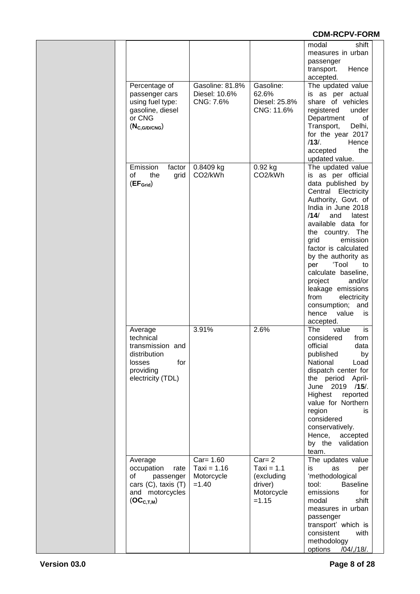|                                                                                                                   |                                                        |                                                                             | shift<br>modal<br>measures in urban<br>passenger<br>transport.<br>Hence<br>accepted.                                                                                                                                                                                                                                                                                                                                                             |  |
|-------------------------------------------------------------------------------------------------------------------|--------------------------------------------------------|-----------------------------------------------------------------------------|--------------------------------------------------------------------------------------------------------------------------------------------------------------------------------------------------------------------------------------------------------------------------------------------------------------------------------------------------------------------------------------------------------------------------------------------------|--|
| Percentage of<br>passenger cars<br>using fuel type:<br>gasoline, diesel<br>or CNG<br>$(N_{C, G/D/ CNG})$          | Gasoline: 81.8%<br>Diesel: 10.6%<br>CNG: 7.6%          | Gasoline:<br>62.6%<br>Diesel: 25.8%<br>CNG: 11.6%                           | The updated value<br>is as per actual<br>share of vehicles<br>registered<br>under<br>Department<br>0f<br>Transport,<br>Delhi,<br>for the year 2017<br>$/13/$ .<br>Hence<br>accepted<br>the<br>updated value.                                                                                                                                                                                                                                     |  |
| Emission<br>factor<br>οf<br>the<br>grid<br>(EF <sub>Grid</sub> )                                                  | 0.8409 kg<br>CO <sub>2</sub> /kWh                      | 0.92 kg<br>CO2/kWh                                                          | The updated value<br>is as per official<br>data published by<br>Central Electricity<br>Authority, Govt. of<br>India in June 2018<br>/14/<br>and<br>latest<br>available data for<br>the<br>country. The<br>grid<br>emission<br>factor is calculated<br>by the authority as<br>'Tool<br>per<br>to<br>calculate baseline,<br>project<br>and/or<br>leakage emissions<br>from<br>electricity<br>consumption; and<br>hence<br>value<br>is<br>accepted. |  |
| Average<br>technical<br>transmission and<br>distribution<br>for<br>losses<br>providing<br>electricity (TDL)       | 3.91%                                                  | 2.6%                                                                        | The<br>is<br>value<br>considered<br>from<br>official<br>data<br>published<br>by<br>National<br>Load<br>dispatch center for<br>the period April-<br>June 2019 /15/.<br>Highest<br>reported<br>value for Northern<br>region<br>is<br>considered<br>conservatively.<br>Hence,<br>accepted<br>by the<br>validation<br>team.                                                                                                                          |  |
| Average<br>occupation<br>rate<br>οf<br>passenger<br>cars $(C)$ , taxis $(T)$<br>and motorcycles<br>$(OC_{C,T,M})$ | $Car = 1.60$<br>Taxi = $1.16$<br>Motorcycle<br>$=1.40$ | $Car = 2$<br>$Taxi = 1.1$<br>(excluding<br>driver)<br>Motorcycle<br>$=1.15$ | The updates value<br>is<br>as<br>per<br>'methodological<br>tool:<br><b>Baseline</b><br>emissions<br>for<br>shift<br>modal<br>measures in urban<br>passenger<br>transport' which is<br>consistent<br>with<br>methodology<br>options<br>/04/,/18/.                                                                                                                                                                                                 |  |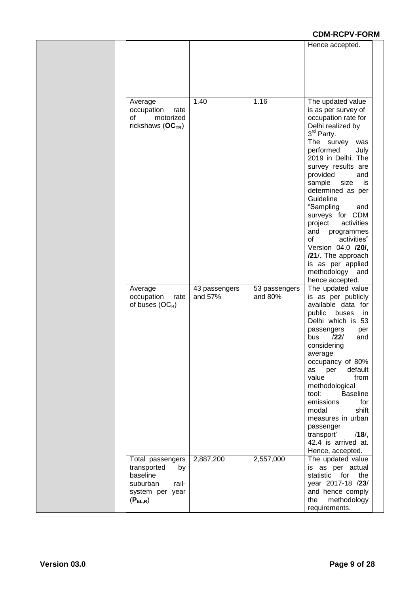|                                                                                                           |                          |                          | Hence accepted.                                                                                                                                                                                                                                                                                                                                                                                                                                                                           |
|-----------------------------------------------------------------------------------------------------------|--------------------------|--------------------------|-------------------------------------------------------------------------------------------------------------------------------------------------------------------------------------------------------------------------------------------------------------------------------------------------------------------------------------------------------------------------------------------------------------------------------------------------------------------------------------------|
| Average<br>occupation<br>rate<br>οf<br>motorized<br>rickshaws $(OCTR)$                                    | 1.40                     | 1.16                     | The updated value<br>is as per survey of<br>occupation rate for<br>Delhi realized by<br>3rd Party.<br>The survey<br>was<br>performed<br>July<br>2019 in Delhi. The<br>survey results are<br>provided<br>and<br>sample<br>size<br>is<br>determined as per<br>Guideline<br>"Sampling<br>and<br>surveys for CDM<br>activities<br>project<br>and<br>programmes<br>οf<br>activities"<br>Version 04.0 /20/,<br>/21/. The approach<br>is as per applied<br>methodology<br>and<br>hence accepted. |
| Average<br>occupation<br>rate<br>of buses $(OC_B)$                                                        | 43 passengers<br>and 57% | 53 passengers<br>and 80% | The updated value<br>is as per publicly<br>available data for<br>public<br>buses<br>in<br>Delhi which is 53<br>passengers<br>per<br>/22/<br>bus<br>and<br>considering<br>average<br>occupancy of 80%<br>default<br>as<br>per<br>value<br>from<br>methodological<br>tool:<br><b>Baseline</b><br>emissions<br>for<br>shift<br>modal<br>measures in urban<br>passenger<br>transport'<br>$/18/$ ,<br>42.4 is arrived at.<br>Hence, accepted.                                                  |
| Total passengers<br>transported<br>by<br>baseline<br>suburban<br>rail-<br>system per year<br>$(P_{EL,R})$ | 2,887,200                | 2,557,000                | The updated value<br>is as per actual<br>statistic<br>for<br>the<br>year 2017-18 /23/<br>and hence comply<br>methodology<br>the<br>requirements.                                                                                                                                                                                                                                                                                                                                          |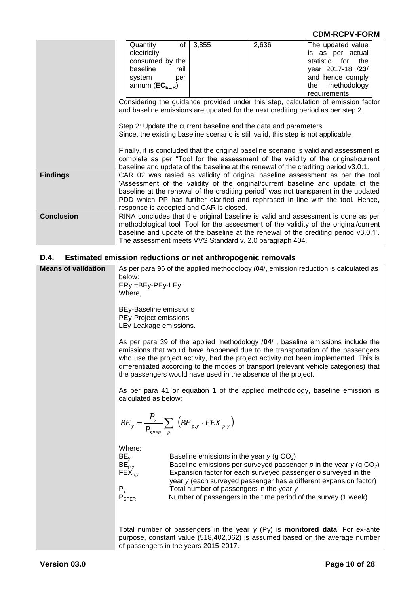|                   | Quantity<br>electricity<br>consumed by the<br>baseline<br>rail<br>system<br>per<br>annum $(EC_{EL,R})$                                                                                                                                                                                                                                                                              | of $3,855$ | 2,636 | The updated value<br>is as per actual<br>statistic for<br>the<br>year 2017-18 /23/<br>and hence comply<br>methodology<br>the                                                |
|-------------------|-------------------------------------------------------------------------------------------------------------------------------------------------------------------------------------------------------------------------------------------------------------------------------------------------------------------------------------------------------------------------------------|------------|-------|-----------------------------------------------------------------------------------------------------------------------------------------------------------------------------|
|                   |                                                                                                                                                                                                                                                                                                                                                                                     |            |       | requirements.                                                                                                                                                               |
|                   | Considering the guidance provided under this step, calculation of emission factor<br>and baseline emissions are updated for the next crediting period as per step 2.                                                                                                                                                                                                                |            |       |                                                                                                                                                                             |
|                   | Step 2: Update the current baseline and the data and parameters<br>Since, the existing baseline scenario is still valid, this step is not applicable.                                                                                                                                                                                                                               |            |       |                                                                                                                                                                             |
|                   | baseline and update of the baseline at the renewal of the crediting period v3.0.1.                                                                                                                                                                                                                                                                                                  |            |       | Finally, it is concluded that the original baseline scenario is valid and assessment is<br>complete as per "Tool for the assessment of the validity of the original/current |
| <b>Findings</b>   | CAR 02 was rasied as validity of original baseline assessment as per the tool<br>'Assessment of the validity of the original/current baseline and update of the<br>baseline at the renewal of the crediting period' was not transparent in the updated<br>PDD which PP has further clarified and rephrased in line with the tool. Hence,<br>response is accepted and CAR is closed. |            |       |                                                                                                                                                                             |
| <b>Conclusion</b> | RINA concludes that the original baseline is valid and assessment is done as per<br>methodological tool 'Tool for the assessment of the validity of the original/current<br>baseline and update of the baseline at the renewal of the crediting period v3.0.1'.<br>The assessment meets VVS Standard v. 2.0 paragraph 404.                                                          |            |       |                                                                                                                                                                             |

#### **D.4. Estimated emission reductions or net anthropogenic removals**

| <b>Means of validation</b> | As per para 96 of the applied methodology /04/, emission reduction is calculated as<br>below:<br>ERy =BEy-PEy-LEy<br>Where,                                                                                                                                                                                                                                                                                                                                                           |
|----------------------------|---------------------------------------------------------------------------------------------------------------------------------------------------------------------------------------------------------------------------------------------------------------------------------------------------------------------------------------------------------------------------------------------------------------------------------------------------------------------------------------|
|                            | BEy-Baseline emissions<br>PEy-Project emissions<br>LEy-Leakage emissions.                                                                                                                                                                                                                                                                                                                                                                                                             |
|                            | As per para 39 of the applied methodology /04/, baseline emissions include the<br>emissions that would have happened due to the transportation of the passengers<br>who use the project activity, had the project activity not been implemented. This is<br>differentiated according to the modes of transport (relevant vehicle categories) that<br>the passengers would have used in the absence of the project.                                                                    |
|                            | As per para 41 or equation 1 of the applied methodology, baseline emission is<br>calculated as below:                                                                                                                                                                                                                                                                                                                                                                                 |
|                            | $BE_y = \frac{P_y}{P_{SPER}} \sum_{p} \left( BE_{p,y} \cdot FEX_{p,y} \right)$                                                                                                                                                                                                                                                                                                                                                                                                        |
|                            | Where:<br>$BE_{v}$<br>Baseline emissions in the year $y$ (g CO <sub>2</sub> )<br>$BE_{p,y}$<br>Baseline emissions per surveyed passenger p in the year $y$ (g CO <sub>2</sub> )<br>$\mathsf{FEX}_{p,y}$<br>Expansion factor for each surveyed passenger $p$ surveyed in the<br>year y (each surveyed passenger has a different expansion factor)<br>$P_y$<br>Total number of passengers in the year y<br>$P_{SPER}$<br>Number of passengers in the time period of the survey (1 week) |
|                            | Total number of passengers in the year $y$ (Py) is <b>monitored data</b> . For ex-ante<br>purpose, constant value (518,402,062) is assumed based on the average number<br>of passengers in the years 2015-2017.                                                                                                                                                                                                                                                                       |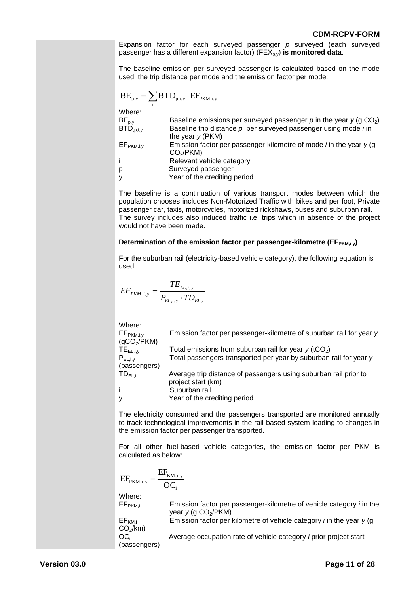| Expansion factor for each surveyed passenger $p$ surveyed (each surveyed<br>passenger has a different expansion factor) ( $FEX_{p,v}$ ) is monitored data.                                                                                                                                                                                                                |
|---------------------------------------------------------------------------------------------------------------------------------------------------------------------------------------------------------------------------------------------------------------------------------------------------------------------------------------------------------------------------|
| The baseline emission per surveyed passenger is calculated based on the mode<br>used, the trip distance per mode and the emission factor per mode:                                                                                                                                                                                                                        |
| $\text{BE}_{\text{p},\text{y}} = \sum \text{BTD}_{\text{p},\text{i},\text{y}} \cdot \text{EF}_{\text{PKM},\text{i},\text{y}}$                                                                                                                                                                                                                                             |
| Where:<br>$\mathsf{BE}_{\mathsf{p},\mathsf{y}}$<br>Baseline emissions per surveyed passenger $p$ in the year $y$ (g CO <sub>2</sub> )<br>BE <sub>p,y</sub><br>BTD <sub>,p,i,y</sub><br>Baseline trip distance $p$ per surveyed passenger using mode <i>i</i> in                                                                                                           |
| the year $y$ (PKM)<br>EF <sub>PKM,i,y</sub><br>Emission factor per passenger-kilometre of mode $i$ in the year $y$ (g<br>CO <sub>2</sub> /PKM)<br>Relevant vehicle category                                                                                                                                                                                               |
| Surveyed passenger<br>р<br>Year of the crediting period<br>y                                                                                                                                                                                                                                                                                                              |
| The baseline is a continuation of various transport modes between which the<br>population chooses includes Non-Motorized Traffic with bikes and per foot, Private<br>passenger car, taxis, motorcycles, motorized rickshaws, buses and suburban rail.<br>The survey includes also induced traffic i.e. trips which in absence of the project<br>would not have been made. |
| Determination of the emission factor per passenger-kilometre ( $EF_{PKM,i,y}$ )                                                                                                                                                                                                                                                                                           |
| For the suburban rail (electricity-based vehicle category), the following equation is<br>used:                                                                                                                                                                                                                                                                            |
| $EF_{PKM,i,y} = \frac{TE_{EL,i,y}}{P_{EL,i,y} \cdot TD_{EL,i}}$                                                                                                                                                                                                                                                                                                           |
| Where:<br>EF <sub>PKM,i,y</sub><br>Emission factor per passenger-kilometre of suburban rail for year y<br>(gCO <sub>2</sub> /PKM)<br>$TE_{EL,i,y}$<br>Total emissions from suburban rail for year $y$ (tCO <sub>2</sub> )<br>Total passengers transported per year by suburban rail for year y<br>$\mathsf{P}_{\mathsf{EL},\mathsf{i},\mathsf{y}}$<br>(passengers)        |
| $TD_{EL,i}$<br>Average trip distance of passengers using suburban rail prior to<br>project start (km)<br>Suburban rail<br>ı                                                                                                                                                                                                                                               |
| Year of the crediting period<br>у<br>The electricity consumed and the passengers transported are monitored annually<br>to track technological improvements in the rail-based system leading to changes in<br>the emission factor per passenger transported.                                                                                                               |
| For all other fuel-based vehicle categories, the emission factor per PKM is<br>calculated as below:                                                                                                                                                                                                                                                                       |
| $\text{EF}_{\text{PKM,i,y}} = \frac{\text{EF}_{\text{KM,i,y}}}{\text{OC}}$                                                                                                                                                                                                                                                                                                |
| Where:<br>Emission factor per passenger-kilometre of vehicle category <i>i</i> in the<br>EF <sub>PKM,i</sub><br>year $y$ (g CO <sub>2</sub> /PKM)                                                                                                                                                                                                                         |
| Emission factor per kilometre of vehicle category $i$ in the year $y$ (g<br>$EF_{KM,i}$<br>CO <sub>2</sub> /km)<br>OC <sub>i</sub><br>Average occupation rate of vehicle category <i>i</i> prior project start<br>(passengers)                                                                                                                                            |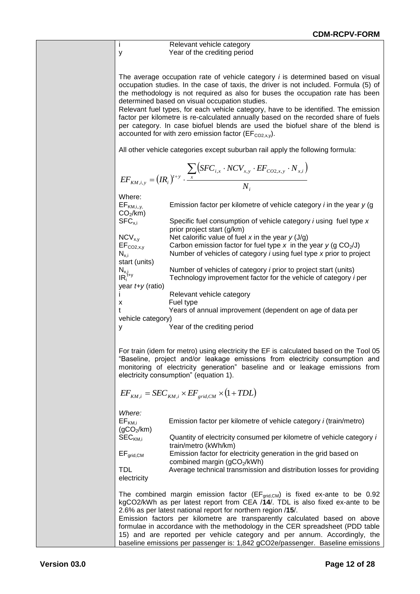Relevant vehicle category y Year of the crediting period

The average occupation rate of vehicle category *i* is determined based on visual occupation studies. In the case of taxis, the driver is not included. Formula (5) of the methodology is not required as also for buses the occupation rate has been determined based on visual occupation studies.

Relevant fuel types, for each vehicle category, have to be identified. The emission factor per kilometre is re-calculated annually based on the recorded share of fuels per category. In case biofuel blends are used the biofuel share of the blend is accounted for with zero emission factor ( $EF_{CO2,xy}$ ).

All other vehicle categories except suburban rail apply the following formula:

$$
EF_{KM,i,y} = (IR_i)^{t+y} \cdot \frac{\sum_{x} (SFC_{i,x} \cdot NCV_{x,y} \cdot EF_{CO2,x,y} \cdot N_{x,i})}{N_i}
$$

Where:<br>EF<sub>KM,i,,y,</sub> Emission factor per kilometre of vehicle category *i* in the year *y* (g)  $CO<sub>2</sub>/km$ ) SFCx,i Specific fuel consumption of vehicle category *i* using fuel type *x* prior project start (g/km) NCVx,y Net calorific value of fuel *x* in the year *y* (J/g) EF<sub>CO2,x,y</sub> Carbon emission factor for fuel type *x* in the year *y* (g CO<sub>2</sub>/J)<br>N<sub>xi</sub> Number of vehicles of category *i* using fuel type *x* prior to proj Number of vehicles of category *i* using fuel type *x* prior to project start (units) Number of vehicles of category *i* prior to project start (units)  $\begin{array}{c} N_{x,i} \\ \textsf{IR}_i^{\mathit{t+y}} \end{array}$ Technology improvement factor for the vehicle of category *i* per year *t+y* (ratio) i Relevant vehicle category x Fuel type t Years of annual improvement (dependent on age of data per vehicle category) y Year of the crediting period

For train (idem for metro) using electricity the EF is calculated based on the Tool 05 "Baseline, project and/or leakage emissions from electricity consumption and monitoring of electricity generation" baseline and or leakage emissions from electricity consumption" (equation 1).

$$
EF_{KM,i} = SEC_{KM,i} \times EF_{grid,CM} \times (1+TDL)
$$

*Where:* Emission factor per kilometre of vehicle category *i* (train/metro)  $(gCO<sub>2</sub>/km)$ <br>SEC<sub>KM i</sub> Quantity of electricity consumed per kilometre of vehicle category *i* train/metro (kWh/km) EF<sub>grid,CM</sub> Emission factor for electricity generation in the grid based on combined margin ( $qCO<sub>2</sub>/kWh$ ) TDL Average technical transmission and distribution losses for providing electricity The combined margin emission factor ( $EF_{grid,CM}$ ) is fixed ex-ante to be 0.92 kgCO2/kWh as per latest report from CEA /**14**/. TDL is also fixed ex-ante to be 2.6% as per latest national report for northern region /**15**/. Emission factors per kilometre are transparently calculated based on above formulae in accordance with the methodology in the CER spreadsheet (PDD table 15) and are reported per vehicle category and per annum. Accordingly, the baseline emissions per passenger is: 1,842 gCO2e/passenger. Baseline emissions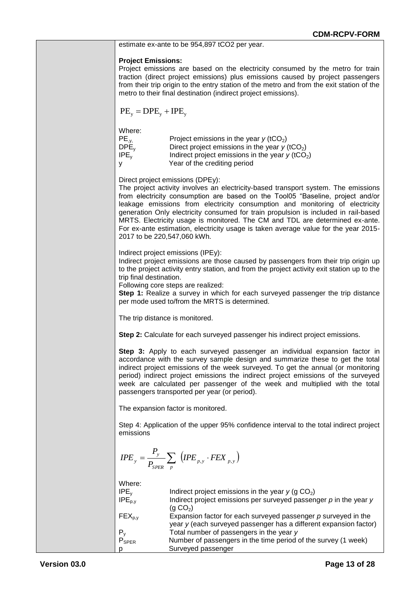| estimate ex-ante to be 954,897 tCO2 per year.<br><b>Project Emissions:</b><br>Project emissions are based on the electricity consumed by the metro for train<br>traction (direct project emissions) plus emissions caused by project passengers<br>from their trip origin to the entry station of the metro and from the exit station of the<br>metro to their final destination (indirect project emissions).<br>$PE_v = DPE_v + IPE_v$<br>Where:<br>$PE_{,y,}$<br>Project emissions in the year $y$ (tCO <sub>2</sub> )<br>DPE <sub>y</sub><br>Direct project emissions in the year $y$ (tCO <sub>2</sub> )<br>IPE <sub>v</sub><br>Indirect project emissions in the year $y$ (tCO <sub>2</sub> )<br>Year of the crediting period<br>y<br>Direct project emissions (DPEy):<br>The project activity involves an electricity-based transport system. The emissions<br>from electricity consumption are based on the Tool05 "Baseline, project and/or<br>leakage emissions from electricity consumption and monitoring of electricity<br>generation Only electricity consumed for train propulsion is included in rail-based<br>MRTS. Electricity usage is monitored. The CM and TDL are determined ex-ante.<br>For ex-ante estimation, electricity usage is taken average value for the year 2015-<br>2017 to be 220,547,060 kWh.<br>Indirect project emissions (IPEy):<br>Indirect project emissions are those caused by passengers from their trip origin up<br>to the project activity entry station, and from the project activity exit station up to the<br>trip final destination.<br>Following core steps are realized:<br>Step 1: Realize a survey in which for each surveyed passenger the trip distance<br>per mode used to/from the MRTS is determined.<br>The trip distance is monitored.<br>Step 2: Calculate for each surveyed passenger his indirect project emissions.<br>Step 3: Apply to each surveyed passenger an individual expansion factor in<br>accordance with the survey sample design and summarize these to get the total<br>indirect project emissions of the week surveyed. To get the annual (or monitoring<br>period) indirect project emissions the indirect project emissions of the surveyed<br>week are calculated per passenger of the week and multiplied with the total<br>passengers transported per year (or period).<br>The expansion factor is monitored.<br>Step 4: Application of the upper 95% confidence interval to the total indirect project |
|------------------------------------------------------------------------------------------------------------------------------------------------------------------------------------------------------------------------------------------------------------------------------------------------------------------------------------------------------------------------------------------------------------------------------------------------------------------------------------------------------------------------------------------------------------------------------------------------------------------------------------------------------------------------------------------------------------------------------------------------------------------------------------------------------------------------------------------------------------------------------------------------------------------------------------------------------------------------------------------------------------------------------------------------------------------------------------------------------------------------------------------------------------------------------------------------------------------------------------------------------------------------------------------------------------------------------------------------------------------------------------------------------------------------------------------------------------------------------------------------------------------------------------------------------------------------------------------------------------------------------------------------------------------------------------------------------------------------------------------------------------------------------------------------------------------------------------------------------------------------------------------------------------------------------------------------------------------------------------------------------------------------------------------------------------------------------------------------------------------------------------------------------------------------------------------------------------------------------------------------------------------------------------------------------------------------------------------------------------------------------------------------------------------------------------------------------------------------------------------------|
|                                                                                                                                                                                                                                                                                                                                                                                                                                                                                                                                                                                                                                                                                                                                                                                                                                                                                                                                                                                                                                                                                                                                                                                                                                                                                                                                                                                                                                                                                                                                                                                                                                                                                                                                                                                                                                                                                                                                                                                                                                                                                                                                                                                                                                                                                                                                                                                                                                                                                                |
|                                                                                                                                                                                                                                                                                                                                                                                                                                                                                                                                                                                                                                                                                                                                                                                                                                                                                                                                                                                                                                                                                                                                                                                                                                                                                                                                                                                                                                                                                                                                                                                                                                                                                                                                                                                                                                                                                                                                                                                                                                                                                                                                                                                                                                                                                                                                                                                                                                                                                                |
|                                                                                                                                                                                                                                                                                                                                                                                                                                                                                                                                                                                                                                                                                                                                                                                                                                                                                                                                                                                                                                                                                                                                                                                                                                                                                                                                                                                                                                                                                                                                                                                                                                                                                                                                                                                                                                                                                                                                                                                                                                                                                                                                                                                                                                                                                                                                                                                                                                                                                                |
|                                                                                                                                                                                                                                                                                                                                                                                                                                                                                                                                                                                                                                                                                                                                                                                                                                                                                                                                                                                                                                                                                                                                                                                                                                                                                                                                                                                                                                                                                                                                                                                                                                                                                                                                                                                                                                                                                                                                                                                                                                                                                                                                                                                                                                                                                                                                                                                                                                                                                                |
|                                                                                                                                                                                                                                                                                                                                                                                                                                                                                                                                                                                                                                                                                                                                                                                                                                                                                                                                                                                                                                                                                                                                                                                                                                                                                                                                                                                                                                                                                                                                                                                                                                                                                                                                                                                                                                                                                                                                                                                                                                                                                                                                                                                                                                                                                                                                                                                                                                                                                                |
|                                                                                                                                                                                                                                                                                                                                                                                                                                                                                                                                                                                                                                                                                                                                                                                                                                                                                                                                                                                                                                                                                                                                                                                                                                                                                                                                                                                                                                                                                                                                                                                                                                                                                                                                                                                                                                                                                                                                                                                                                                                                                                                                                                                                                                                                                                                                                                                                                                                                                                |
|                                                                                                                                                                                                                                                                                                                                                                                                                                                                                                                                                                                                                                                                                                                                                                                                                                                                                                                                                                                                                                                                                                                                                                                                                                                                                                                                                                                                                                                                                                                                                                                                                                                                                                                                                                                                                                                                                                                                                                                                                                                                                                                                                                                                                                                                                                                                                                                                                                                                                                |
|                                                                                                                                                                                                                                                                                                                                                                                                                                                                                                                                                                                                                                                                                                                                                                                                                                                                                                                                                                                                                                                                                                                                                                                                                                                                                                                                                                                                                                                                                                                                                                                                                                                                                                                                                                                                                                                                                                                                                                                                                                                                                                                                                                                                                                                                                                                                                                                                                                                                                                |
|                                                                                                                                                                                                                                                                                                                                                                                                                                                                                                                                                                                                                                                                                                                                                                                                                                                                                                                                                                                                                                                                                                                                                                                                                                                                                                                                                                                                                                                                                                                                                                                                                                                                                                                                                                                                                                                                                                                                                                                                                                                                                                                                                                                                                                                                                                                                                                                                                                                                                                |
|                                                                                                                                                                                                                                                                                                                                                                                                                                                                                                                                                                                                                                                                                                                                                                                                                                                                                                                                                                                                                                                                                                                                                                                                                                                                                                                                                                                                                                                                                                                                                                                                                                                                                                                                                                                                                                                                                                                                                                                                                                                                                                                                                                                                                                                                                                                                                                                                                                                                                                |
| emissions                                                                                                                                                                                                                                                                                                                                                                                                                                                                                                                                                                                                                                                                                                                                                                                                                                                                                                                                                                                                                                                                                                                                                                                                                                                                                                                                                                                                                                                                                                                                                                                                                                                                                                                                                                                                                                                                                                                                                                                                                                                                                                                                                                                                                                                                                                                                                                                                                                                                                      |
| $\label{eq1} \textit{IPE}_y = \frac{P_y}{P_{\textit{SPER}}} \sum_{p} \; \left(\textit{IPE}_{p,y} \cdot \textit{FEX}_{p,y}\right)$                                                                                                                                                                                                                                                                                                                                                                                                                                                                                                                                                                                                                                                                                                                                                                                                                                                                                                                                                                                                                                                                                                                                                                                                                                                                                                                                                                                                                                                                                                                                                                                                                                                                                                                                                                                                                                                                                                                                                                                                                                                                                                                                                                                                                                                                                                                                                              |
| Where:<br>IPE <sub>v</sub><br>Indirect project emissions in the year $y$ (g CO <sub>2</sub> )<br>$IPE_{p,y}$<br>Indirect project emissions per surveyed passenger $p$ in the year $y$<br>(g CO <sub>2</sub> )<br>$FEX_{p,y}$<br>Expansion factor for each surveyed passenger $p$ surveyed in the<br>year y (each surveyed passenger has a different expansion factor)<br>$P_y$<br>Total number of passengers in the year y<br>Number of passengers in the time period of the survey (1 week)<br>$P_{SPER}$<br>Surveyed passenger                                                                                                                                                                                                                                                                                                                                                                                                                                                                                                                                                                                                                                                                                                                                                                                                                                                                                                                                                                                                                                                                                                                                                                                                                                                                                                                                                                                                                                                                                                                                                                                                                                                                                                                                                                                                                                                                                                                                                               |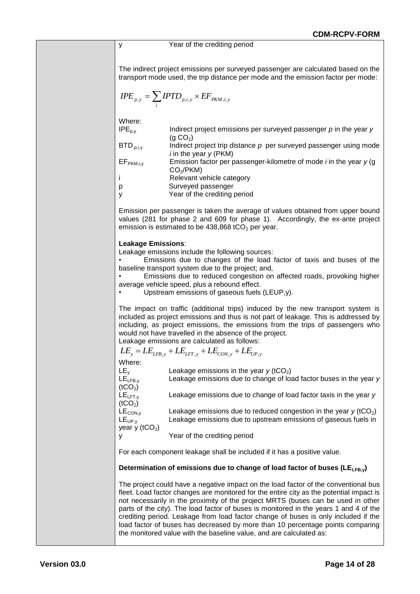## y Year of the crediting period The indirect project emissions per surveyed passenger are calculated based on the transport mode used, the trip distance per mode and the emission factor per mode:  $=\sum_i IPTD_{p,i,y} \times$  $\textit{IPE}_{p,y} = \sum \textit{IPTD}_{p,i,y} \times \textit{EF}_{\textit{PKM},i,y}$ Where:  $IPE<sub>p.v</sub>$  Indirect project emissions per surveyed passenger  $p$  in the year  $y$  $(g CO<sub>2</sub>)$ BTD<sub>.p.i.v</sub> Indirect project trip distance p per surveyed passenger using mode *i* in the year *y* (PKM) EFPKM,i,y Emission factor per passenger-kilometre of mode *i* in the year *y* (g  $CO<sub>2</sub>/PKM$ ) i Relevant vehicle category p Surveyed passenger y Year of the crediting period Emission per passenger is taken the average of values obtained from upper bound values (281 for phase 2 and 609 for phase 1). Accordingly, the ex-ante project emission is estimated to be  $438,868$  tCO<sub>2</sub> per year. **Leakage Emissions**: Leakage emissions include the following sources: • Emissions due to changes of the load factor of taxis and buses of the baseline transport system due to the project; and, • Emissions due to reduced congestion on affected roads, provoking higher average vehicle speed, plus a rebound effect. Upstream emissions of gaseous fuels (LEUP,y). The impact on traffic (additional trips) induced by the new transport system is included as project emissions and thus is not part of leakage. This is addressed by including, as project emissions, the emissions from the trips of passengers who would not have travelled in the absence of the project. Leakage emissions are calculated as follows:  $LE_y = LE_{LFB,y} + LE_{LFT,y} + LE_{CON,y} + LE_{UP,y}$ Where:

| <u>vvijeje.</u>       |                                                                                                     |
|-----------------------|-----------------------------------------------------------------------------------------------------|
| LE <sub>y</sub>       | Leakage emissions in the year $y$ (tCO <sub>2</sub> )                                               |
| $LE_{LFB,y}$          | Leakage emissions due to change of load factor buses in the year y                                  |
| (tCO <sub>2</sub> )   |                                                                                                     |
| $LE$ <sub>LFT,y</sub> | Leakage emissions due to change of load factor taxis in the year y                                  |
| (tCO <sub>2</sub> )   |                                                                                                     |
| $LE_{CON,y}$          | Leakage emissions due to reduced congestion in the year $y$ (tCO <sub>2</sub> )                     |
| $LE_{UP,V}$           | Leakage emissions due to upstream emissions of gaseous fuels in                                     |
| year y $(tCO2)$       |                                                                                                     |
|                       | Year of the crediting period                                                                        |
|                       |                                                                                                     |
|                       | ■ concert of concert conflict of concelled the teach of the total concert of the concelled to the t |

For each component leakage shall be included if it has a positive value.

## Determination of emissions due to change of load factor of buses (LE<sub>IFBy</sub>)

The project could have a negative impact on the load factor of the conventional bus fleet. Load factor changes are monitored for the entire city as the potential impact is not necessarily in the proximity of the project MRTS (buses can be used in other parts of the city). The load factor of buses is monitored in the years 1 and 4 of the crediting period. Leakage from load factor change of buses is only included if the load factor of buses has decreased by more than 10 percentage points comparing the monitored value with the baseline value, and are calculated as: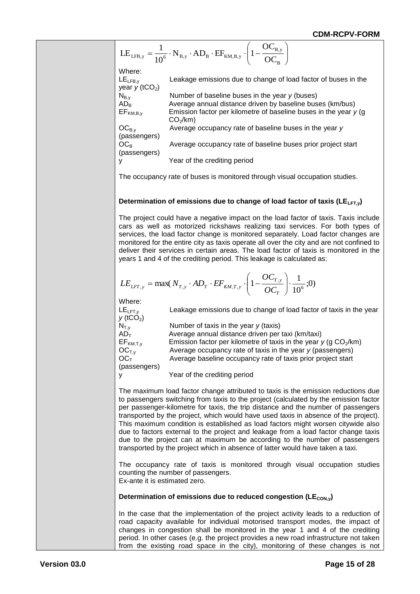1. E<sub>LFB, y</sub> = 
$$
\frac{1}{10}
$$
·N<sub>By</sub> · AD<sub>g</sub> · EF<sub>RA, B, y</sub> (1 –  $\frac{OC_{B, y}}{OC_{B, y}}$ )  
\nWhere:  
\nLE<sub>1, B, y</sub>  
\nWhere:  
\nLE<sub>1, B, y</sub>  
\nHence  
\nHence  
\nHence  
\nWe  
\nNow  
\nAveg  
\nBveg  
\nAveg  
\nBveg  
\nBveg  
\nBveg  
\nBveg  
\nBveg  
\nBveg  
\nBveg  
\nBveg  
\nBveg  
\nBveg  
\nBveg  
\nBveg  
\nBveg  
\nBveg  
\nBveg  
\nBveg  
\nBveg  
\nBveg  
\nBveg  
\nBveg  
\nBveg  
\nBveg  
\nBveg  
\nBveg  
\nBveg  
\nBveg  
\nBveg  
\nBveg  
\nBveg  
\nBveg  
\nBveg  
\nBveg  
\nBveg  
\nBveg  
\nBveg  
\nBveg  
\nBveg  
\nBveg  
\nBveg  
\nBveg  
\nBveg  
\nBveg  
\nBveg  
\nBveg  
\nBveg  
\nBveg  
\nBveg  
\nBveg  
\nBveg  
\nBveg  
\nBveg  
\nBveg  
\nBveg  
\nBveg  
\nBveg  
\nBveg  
\nBveg  
\nBveg  
\nBveg  
\nBveg  
\nBveg  
\nBveg  
\nBveg  
\nBveg  
\nBveg  
\nBveg  
\nBveg  
\nBveg  
\nBveg  
\nBveg  
\nBveg  
\nBveg  
\nBveg  
\nBveg  
\nBveg  
\nBveg  
\nBveg  
\nBveg  
\nBveg  
\nBveg  
\nBveg  
\nBveg  
\nBveg  
\nBveg  
\nBveg  
\nBveg  
\nBveg  
\nBveg  
\nBveg  
\nBveg  
\nBveg  
\nBveg  
\nBveg  
\nBveg  
\nBveg  
\nBveg  
\nBveg  
\nBveg  
\nBveg  
\nBveg

The occupancy rate of buses is monitored through visual occupation studies.

#### Determination of emissions due to change of load factor of taxis (LE<sub>LFT,y</sub>)

The project could have a negative impact on the load factor of taxis. Taxis include cars as well as motorized rickshaws realizing taxi services. For both types of services, the load factor change is monitored separately. Load factor changes are monitored for the entire city as taxis operate all over the city and are not confined to deliver their services in certain areas. The load factor of taxis is monitored in the years 1 and 4 of the crediting period. This leakage is calculated as:

$$
LE_{LFT,y} = \max(N_{T,y} \cdot AD_T \cdot EF_{KM,T,y} \cdot \left(1 - \frac{OC_{T,y}}{OC_T}\right) \cdot \frac{1}{10^6};0)
$$

Where:

(passengers)

y Year of the crediting period

 $LE<sub>LFT,y</sub>$  Leakage emissions due to change of load factor of taxis in the year  $y$  (tCO<sub>2</sub>)<br> $N_{T,y}$ Number of taxis in the year *y* (taxis)  $AD_T$  Average annual distance driven per taxi (km/taxi)<br>EF<sub>KM.T.v</sub> Emission factor per kilometre of taxis in the year j EF<sub>KM,T,y</sub> Emission factor per kilometre of taxis in the year  $y$  (g CO<sub>2</sub>/km)<br>OC<sub>T,y</sub> Average occupancy rate of taxis in the year  $y$  (passengers)  $OC_{T,y}$  Average occupancy rate of taxis in the year *y* (passengers)<br> $OC_{T}$  Average baseline occupancy rate of taxis prior project start Average baseline occupancy rate of taxis prior project start (passengers)

y Year of the crediting period

The maximum load factor change attributed to taxis is the emission reductions due to passengers switching from taxis to the project (calculated by the emission factor per passenger-kilometre for taxis, the trip distance and the number of passengers transported by the project, which would have used taxis in absence of the project). This maximum condition is established as load factors might worsen citywide also due to factors external to the project and leakage from a load factor change taxis due to the project can at maximum be according to the number of passengers transported by the project which in absence of latter would have taken a taxi.

The occupancy rate of taxis is monitored through visual occupation studies counting the number of passengers. Ex-ante it is estimated zero.

#### Determination of emissions due to reduced congestion (LE<sub>CON,y</sub>)

In the case that the implementation of the project activity leads to a reduction of road capacity available for individual motorised transport modes, the impact of changes in congestion shall be monitored in the year 1 and 4 of the crediting period. In other cases (e.g. the project provides a new road infrastructure not taken from the existing road space in the city), monitoring of these changes is not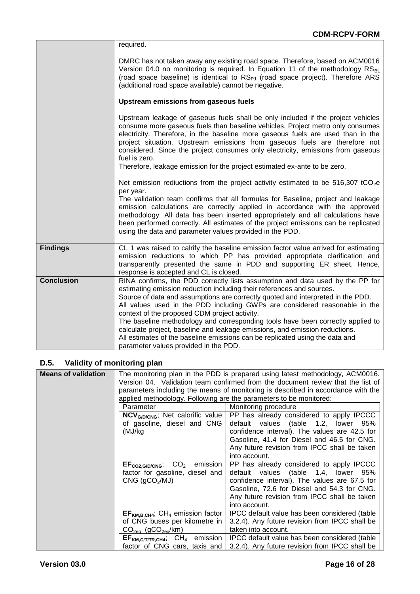|                   | required.                                                                                                                                                                                                                                                                                                                                                                                                                                                                                                                                                                                                                                                           |
|-------------------|---------------------------------------------------------------------------------------------------------------------------------------------------------------------------------------------------------------------------------------------------------------------------------------------------------------------------------------------------------------------------------------------------------------------------------------------------------------------------------------------------------------------------------------------------------------------------------------------------------------------------------------------------------------------|
|                   | DMRC has not taken away any existing road space. Therefore, based on ACM0016<br>Version 04.0 no monitoring is required. In Equation 11 of the methodology RS <sub>BL</sub><br>(road space baseline) is identical to RS <sub>PJ</sub> (road space project). Therefore ARS<br>(additional road space available) cannot be negative.                                                                                                                                                                                                                                                                                                                                   |
|                   | Upstream emissions from gaseous fuels                                                                                                                                                                                                                                                                                                                                                                                                                                                                                                                                                                                                                               |
|                   | Upstream leakage of gaseous fuels shall be only included if the project vehicles<br>consume more gaseous fuels than baseline vehicles. Project metro only consumes<br>electricity. Therefore, in the baseline more gaseous fuels are used than in the<br>project situation. Upstream emissions from gaseous fuels are therefore not<br>considered. Since the project consumes only electricity, emissions from gaseous<br>fuel is zero.<br>Therefore, leakage emission for the project estimated ex-ante to be zero.                                                                                                                                                |
|                   | Net emission rediuctions from the project activity estimated to be 516,307 tCO <sub>2</sub> e                                                                                                                                                                                                                                                                                                                                                                                                                                                                                                                                                                       |
|                   | per year.<br>The validation team confirms that all formulas for Baseline, project and leakage<br>emission calculations are correctly applied in accordance with the approved<br>methodology. All data has been inserted appropriately and all calculations have<br>been performed correctly. All estimates of the project emissions can be replicated<br>using the data and parameter values provided in the PDD.                                                                                                                                                                                                                                                   |
| <b>Findings</b>   | CL 1 was raised to calrify the baseline emission factor value arrived for estimating<br>emission reductions to which PP has provided appropriate clarification and<br>transparently presented the same in PDD and supporting ER sheet. Hence,<br>response is accepted and CL is closed.                                                                                                                                                                                                                                                                                                                                                                             |
| <b>Conclusion</b> | RINA confirms, the PDD correctly lists assumption and data used by the PP for<br>estimating emission reduction including their references and sources.<br>Source of data and assumptions are correctly quoted and interpreted in the PDD.<br>All values used in the PDD including GWPs are considered reasonable in the<br>context of the proposed CDM project activity.<br>The baseline methodology and corresponding tools have been correctly applied to<br>calculate project, baseline and leakage emissions, and emission reductions.<br>All estimates of the baseline emissions can be replicated using the data and<br>parameter values provided in the PDD. |

## **D.5. Validity of monitoring plan**

| <b>Means of validation</b> |                                                                    | The monitoring plan in the PDD is prepared using latest methodology, ACM0016.    |
|----------------------------|--------------------------------------------------------------------|----------------------------------------------------------------------------------|
|                            |                                                                    | Version 04. Validation team confirmed from the document review that the list of  |
|                            |                                                                    | parameters including the means of monitoring is described in accordance with the |
|                            | applied methodology. Following are the parameters to be monitored: |                                                                                  |
|                            | Parameter                                                          | Monitoring procedure                                                             |
|                            | NCV <sub>G/D/CNG</sub> ; Net calorific value                       | PP has already considered to apply IPCCC                                         |
|                            | of gasoline, diesel and CNG                                        | default values (table 1.2, lower<br>95%                                          |
|                            | (MJ/kg                                                             | confidence interval). The values are 42.5 for                                    |
|                            |                                                                    | Gasoline, 41.4 for Diesel and 46.5 for CNG.                                      |
|                            |                                                                    | Any future revision from IPCC shall be taken                                     |
|                            |                                                                    | into account.                                                                    |
|                            | $CO2$ emission  <br>$EF_{CO2, G/D/CNG}$                            | PP has already considered to apply IPCCC                                         |
|                            | factor for gasoline, diesel and                                    | default values (table 1.4, lower<br>95%                                          |
|                            | CNG (qCO <sub>2</sub> /MJ)                                         | confidence interval). The values are 67.5 for                                    |
|                            |                                                                    | Gasoline, 72.6 for Diesel and 54.3 for CNG.                                      |
|                            |                                                                    | Any future revision from IPCC shall be taken                                     |
|                            |                                                                    | into account.                                                                    |
|                            | $EFKM.B.CH4; CH4 emission factor$                                  | IPCC default value has been considered (table                                    |
|                            | of CNG buses per kilometre in                                      | 3.2.4). Any future revision from IPCC shall be                                   |
|                            | $CO2ea$ (gCO <sub>2eg</sub> /km)                                   | taken into account.                                                              |
|                            | $CH4$ emission<br>EF <sub>KM, C/T/TR, CH4</sub>                    | IPCC default value has been considered (table                                    |
|                            | factor of CNG cars, taxis and                                      | 3.2.4). Any future revision from IPCC shall be                                   |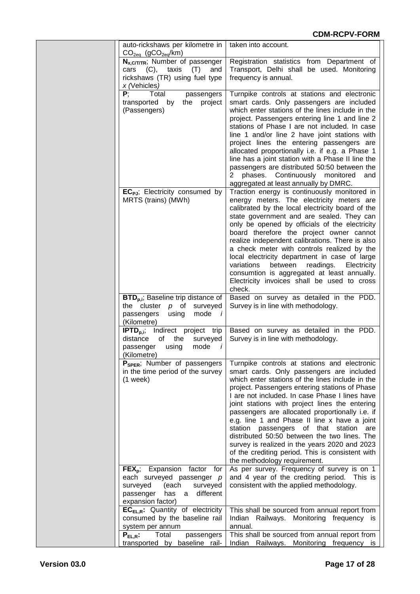| auto-rickshaws per kilometre in                                          | taken into account.                                                                               |
|--------------------------------------------------------------------------|---------------------------------------------------------------------------------------------------|
| $CO2eq$ (gCO <sub>2eq</sub> /km)                                         |                                                                                                   |
| $N_{x, C/T/TR}$ ; Number of passenger                                    | Registration statistics from Department of                                                        |
| cars (C), taxis<br>(T)<br>and<br>rickshaws (TR) using fuel type          | Transport, Delhi shall be used. Monitoring<br>frequency is annual.                                |
| x (Vehicles)                                                             |                                                                                                   |
| Ρ,<br>Total<br>passengers                                                | Turnpike controls at stations and electronic                                                      |
| transported by<br>the<br>project                                         | smart cards. Only passengers are included                                                         |
| (Passengers)                                                             | which enter stations of the lines include in the                                                  |
|                                                                          | project. Passengers entering line 1 and line 2                                                    |
|                                                                          | stations of Phase I are not included. In case<br>line 1 and/or line 2 have joint stations with    |
|                                                                          | project lines the entering passengers are                                                         |
|                                                                          | allocated proportionally i.e. if e.g. a Phase 1                                                   |
|                                                                          | line has a joint station with a Phase II line the                                                 |
|                                                                          | passengers are distributed 50:50 between the                                                      |
|                                                                          | phases. Continuously monitored<br>and                                                             |
|                                                                          | aggregated at least annually by DMRC.                                                             |
| EC <sub>PJ</sub> ; Electricity consumed by<br>MRTS (trains) (MWh)        | Traction energy is continuously monitored in<br>energy meters. The electricity meters are         |
|                                                                          | calibrated by the local electricity board of the                                                  |
|                                                                          | state government and are sealed. They can                                                         |
|                                                                          | only be opened by officials of the electricity                                                    |
|                                                                          | board therefore the project owner cannot                                                          |
|                                                                          | realize independent calibrations. There is also<br>a check meter with controls realized by the    |
|                                                                          | local electricity department in case of large                                                     |
|                                                                          | variations<br>between<br>readings.<br>Electricity                                                 |
|                                                                          | consumtion is aggregated at least annually.                                                       |
|                                                                          | Electricity invoices shall be used to cross                                                       |
| $\text{BTD}_{p,i}$ ; Baseline trip distance of                           | check.<br>Based on survey as detailed in the PDD.                                                 |
| the cluster $p$ of surveyed                                              | Survey is in line with methodology.                                                               |
| passengers<br>using<br>mode <i>i</i>                                     |                                                                                                   |
| (Kilometre)                                                              |                                                                                                   |
| <b>IPTD</b> <sub>p.i</sub> ; Indirect project trip                       | Based on survey as detailed in the PDD.                                                           |
| of<br>distance<br>the<br>surveyed<br>mode<br>passenger<br>$\overline{I}$ | Survey is in line with methodology.                                                               |
| using<br>(Kilometre)                                                     |                                                                                                   |
| P <sub>SPER</sub> ; Number of passengers                                 | Turnpike controls at stations and electronic                                                      |
| in the time period of the survey                                         | smart cards. Only passengers are included                                                         |
| $(1$ week)                                                               | which enter stations of the lines include in the                                                  |
|                                                                          | project. Passengers entering stations of Phase                                                    |
|                                                                          | I are not included. In case Phase I lines have<br>joint stations with project lines the entering  |
|                                                                          | passengers are allocated proportionally i.e. if                                                   |
|                                                                          | e.g. line 1 and Phase II line x have a joint                                                      |
|                                                                          | station passengers of that station are                                                            |
|                                                                          | distributed 50:50 between the two lines. The                                                      |
|                                                                          | survey is realized in the years 2020 and 2023<br>of the crediting period. This is consistent with |
|                                                                          | the methodology requirement.                                                                      |
| $FEXp$ ; Expansion factor for                                            | As per survey. Frequency of survey is on 1                                                        |
| each surveyed passenger p                                                | and 4 year of the crediting period. This is                                                       |
| surveyed<br>(each<br>surveyed                                            | consistent with the applied methodology.                                                          |
| passenger<br>has<br>different<br>a a                                     |                                                                                                   |
| expansion factor)<br>$EC_{EL,R}$ : Quantity of electricity               | This shall be sourced from annual report from                                                     |
| consumed by the baseline rail                                            | Indian Railways. Monitoring frequency is                                                          |
| system per annum                                                         | annual.                                                                                           |
| $P_{EL,R}$ :<br>Total<br>passengers                                      | This shall be sourced from annual report from                                                     |
| transported by baseline rail-                                            | Indian Railways. Monitoring frequency is                                                          |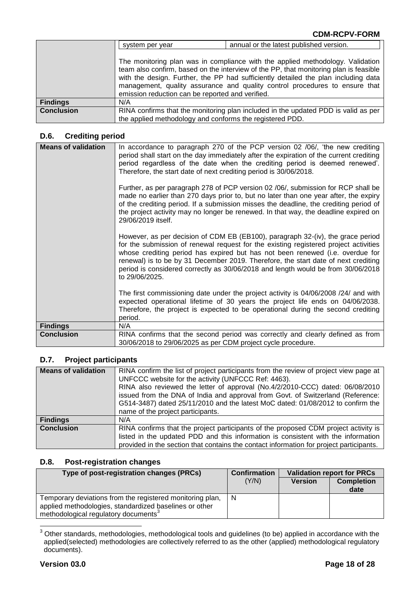|                   | system per year                                                                                                                                                                                                                                                                                                                                                                                  | annual or the latest published version.                                            |  |
|-------------------|--------------------------------------------------------------------------------------------------------------------------------------------------------------------------------------------------------------------------------------------------------------------------------------------------------------------------------------------------------------------------------------------------|------------------------------------------------------------------------------------|--|
|                   | The monitoring plan was in compliance with the applied methodology. Validation<br>team also confirm, based on the interview of the PP, that monitoring plan is feasible<br>with the design. Further, the PP had sufficiently detailed the plan including data<br>management, quality assurance and quality control procedures to ensure that<br>emission reduction can be reported and verified. |                                                                                    |  |
| <b>Findings</b>   | N/A                                                                                                                                                                                                                                                                                                                                                                                              |                                                                                    |  |
| <b>Conclusion</b> |                                                                                                                                                                                                                                                                                                                                                                                                  | RINA confirms that the monitoring plan included in the updated PDD is valid as per |  |
|                   | the applied methodology and conforms the registered PDD.                                                                                                                                                                                                                                                                                                                                         |                                                                                    |  |

## **D.6. Crediting period**

| <b>Means of validation</b> | In accordance to paragraph 270 of the PCP version 02 /06/, 'the new crediting<br>period shall start on the day immediately after the expiration of the current crediting<br>period regardless of the date when the crediting period is deemed renewed'.<br>Therefore, the start date of next crediting period is 30/06/2018.                                                                                                                         |
|----------------------------|------------------------------------------------------------------------------------------------------------------------------------------------------------------------------------------------------------------------------------------------------------------------------------------------------------------------------------------------------------------------------------------------------------------------------------------------------|
|                            | Further, as per paragraph 278 of PCP version 02 /06/, submission for RCP shall be<br>made no earlier than 270 days prior to, but no later than one year after, the expiry<br>of the crediting period. If a submission misses the deadline, the crediting period of<br>the project activity may no longer be renewed. In that way, the deadline expired on<br>29/06/2019 itself.                                                                      |
|                            | However, as per decision of CDM EB (EB100), paragraph 32-(iv), the grace period<br>for the submission of renewal request for the existing registered project activities<br>whose crediting period has expired but has not been renewed (i.e. overdue for<br>renewal) is to be by 31 December 2019. Therefore, the start date of next crediting<br>period is considered correctly as 30/06/2018 and length would be from 30/06/2018<br>to 29/06/2025. |
|                            | The first commissioning date under the project activity is 04/06/2008 /24/ and with<br>expected operational lifetime of 30 years the project life ends on 04/06/2038.<br>Therefore, the project is expected to be operational during the second crediting<br>period.                                                                                                                                                                                 |
| <b>Findings</b>            | N/A                                                                                                                                                                                                                                                                                                                                                                                                                                                  |
| <b>Conclusion</b>          | RINA confirms that the second period was correctly and clearly defined as from<br>30/06/2018 to 29/06/2025 as per CDM project cycle procedure.                                                                                                                                                                                                                                                                                                       |

## **D.7. Project participants**

| <b>Means of validation</b> | RINA confirm the list of project participants from the review of project view page at<br>UNFCCC website for the activity (UNFCCC Ref: 4463).<br>RINA also reviewed the letter of approval (No.4/2/2010-CCC) dated: 06/08/2010<br>issued from the DNA of India and approval from Govt. of Switzerland (Reference:<br>G514-3487) dated 25/11/2010 and the latest MoC dated: 01/08/2012 to confirm the<br>name of the project participants. |
|----------------------------|------------------------------------------------------------------------------------------------------------------------------------------------------------------------------------------------------------------------------------------------------------------------------------------------------------------------------------------------------------------------------------------------------------------------------------------|
| <b>Findings</b>            | N/A                                                                                                                                                                                                                                                                                                                                                                                                                                      |
| <b>Conclusion</b>          | RINA confirms that the project participants of the proposed CDM project activity is                                                                                                                                                                                                                                                                                                                                                      |
|                            | listed in the updated PDD and this information is consistent with the information                                                                                                                                                                                                                                                                                                                                                        |
|                            | provided in the section that contains the contact information for project participants.                                                                                                                                                                                                                                                                                                                                                  |

#### **D.8. Post-registration changes**

| Type of post-registration changes (PRCs)                  | <b>Confirmation</b> |                | <b>Validation report for PRCs</b> |
|-----------------------------------------------------------|---------------------|----------------|-----------------------------------|
|                                                           | (Y/N)               | <b>Version</b> | <b>Completion</b>                 |
|                                                           |                     |                | date                              |
| Temporary deviations from the registered monitoring plan, | N                   |                |                                   |
| applied methodologies, standardized baselines or other    |                     |                |                                   |
| methodological regulatory documents <sup>3</sup>          |                     |                |                                   |

 $\overline{1}$  $3$  Other standards, methodologies, methodological tools and guidelines (to be) applied in accordance with the applied(selected) methodologies are collectively referred to as the other (applied) methodological regulatory documents).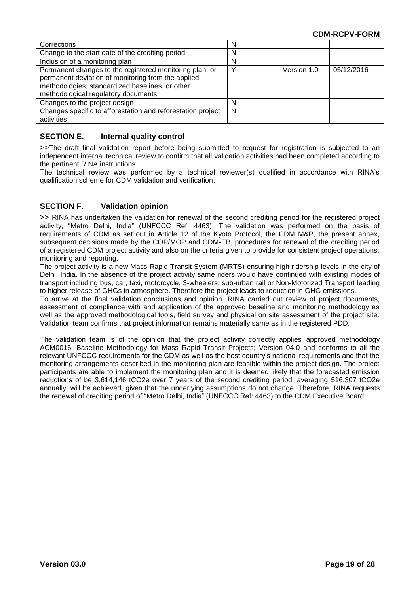| Corrections                                                 | N |             |            |
|-------------------------------------------------------------|---|-------------|------------|
| Change to the start date of the crediting period            | N |             |            |
| Inclusion of a monitoring plan                              | N |             |            |
| Permanent changes to the registered monitoring plan, or     |   | Version 1.0 | 05/12/2016 |
| permanent deviation of monitoring from the applied          |   |             |            |
| methodologies, standardized baselines, or other             |   |             |            |
| methodological regulatory documents                         |   |             |            |
| Changes to the project design                               | N |             |            |
| Changes specific to afforestation and reforestation project | N |             |            |
| activities                                                  |   |             |            |

### **SECTION E. Internal quality control**

>>The draft final validation report before being submitted to request for registration is subjected to an independent internal technical review to confirm that all validation activities had been completed according to the pertinent RINA instructions.

The technical review was performed by a technical reviewer(s) qualified in accordance with RINA's qualification scheme for CDM validation and verification.

#### **SECTION F. Validation opinion**

>> RINA has undertaken the validation for renewal of the second crediting period for the registered project activity, "Metro Delhi, India" (UNFCCC Ref. 4463). The validation was performed on the basis of requirements of CDM as set out in Article 12 of the Kyoto Protocol, the CDM M&P, the present annex, subsequent decisions made by the COP/MOP and CDM-EB, procedures for renewal of the crediting period of a registered CDM project activity and also on the criteria given to provide for consistent project operations, monitoring and reporting.

The project activity is a new Mass Rapid Transit System (MRTS) ensuring high ridership levels in the city of Delhi, India. In the absence of the project activity same riders would have continued with existing modes of transport including bus, car, taxi, motorcycle, 3-wheelers, sub-urban rail or Non-Motorized Transport leading to higher release of GHGs in atmosphere. Therefore the project leads to reduction in GHG emissions.

To arrive at the final validation conclusions and opinion, RINA carried out review of project documents, assessment of compliance with and application of the approved baseline and monitoring methodology as well as the approved methodological tools, field survey and physical on site assessment of the project site. Validation team confirms that project information remains materially same as in the registered PDD.

The validation team is of the opinion that the project activity correctly applies approved methodology ACM0016: Baseline Methodology for Mass Rapid Transit Projects; Version 04.0 and conforms to all the relevant UNFCCC requirements for the CDM as well as the host country's national requirements and that the monitoring arrangements described in the monitoring plan are feasible within the project design. The project participants are able to implement the monitoring plan and it is deemed likely that the forecasted emission reductions of be 3,614,146 tCO2e over 7 years of the second crediting period, averaging 516,307 tCO2e annually, will be achieved, given that the underlying assumptions do not change. Therefore, RINA requests the renewal of crediting period of "Metro Delhi, India" (UNFCCC Ref: 4463) to the CDM Executive Board.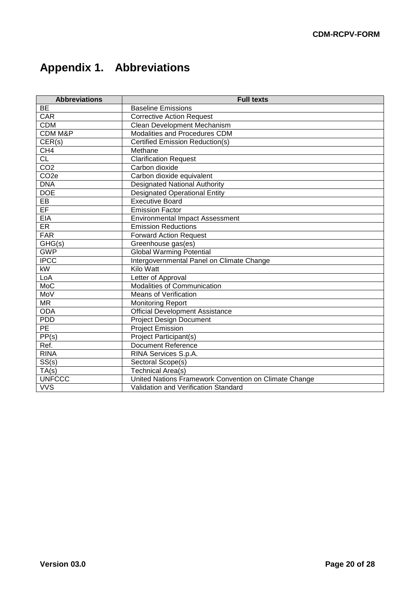# **Appendix 1. Abbreviations**

| <b>Abbreviations</b>   | <b>Full texts</b>                                     |
|------------------------|-------------------------------------------------------|
| <b>BE</b>              | <b>Baseline Emissions</b>                             |
| <b>CAR</b>             | <b>Corrective Action Request</b>                      |
| <b>CDM</b>             | Clean Development Mechanism                           |
| <b>CDM M&amp;P</b>     | Modalities and Procedures CDM                         |
| CER(s)                 | Certified Emission Reduction(s)                       |
| CH <sub>4</sub>        | Methane                                               |
| <b>CL</b>              | <b>Clarification Request</b>                          |
| CO <sub>2</sub>        | Carbon dioxide                                        |
| CO <sub>2e</sub>       | Carbon dioxide equivalent                             |
| <b>DNA</b>             | <b>Designated National Authority</b>                  |
| <b>DOE</b>             | <b>Designated Operational Entity</b>                  |
| EB                     | <b>Executive Board</b>                                |
| EF                     | <b>Emission Factor</b>                                |
| <b>EIA</b>             | <b>Environmental Impact Assessment</b>                |
| ER                     | <b>Emission Reductions</b>                            |
| <b>FAR</b>             | <b>Forward Action Request</b>                         |
| $\overline{GHG}(s)$    | Greenhouse gas(es)                                    |
| <b>GWP</b>             | <b>Global Warming Potential</b>                       |
| <b>IPCC</b>            | Intergovernmental Panel on Climate Change             |
| $\overline{\text{KW}}$ | Kilo Watt                                             |
| LoA                    | Letter of Approval                                    |
| MoC                    | Modalities of Communication                           |
| MoV                    | <b>Means of Verification</b>                          |
| <b>MR</b>              | <b>Monitoring Report</b>                              |
| <b>ODA</b>             | <b>Official Development Assistance</b>                |
| <b>PDD</b>             | <b>Project Design Document</b>                        |
| <b>PE</b>              | <b>Project Emission</b>                               |
| PP(s)                  | <b>Project Participant(s)</b>                         |
| Ref.                   | <b>Document Reference</b>                             |
| <b>RINA</b>            | RINA Services S.p.A.                                  |
| SS(s)                  | Sectoral Scope(s)                                     |
| TA(s)                  | <b>Technical Area(s)</b>                              |
| <b>UNFCCC</b>          | United Nations Framework Convention on Climate Change |
| <b>VVS</b>             | Validation and Verification Standard                  |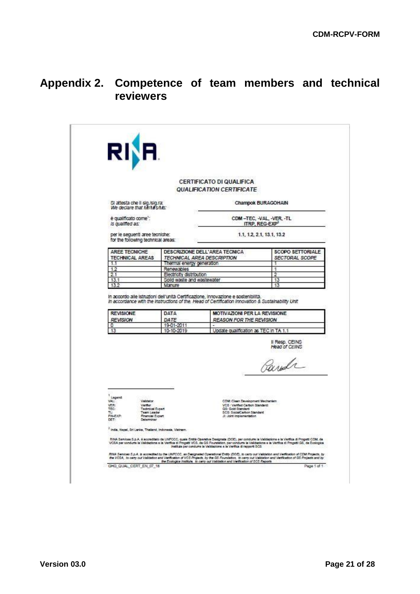## **Appendix 2. Competence of team members and technical reviewers**

|                                                                                                                                                                                            |                                      | CERTIFICATO DI QUALIFICA<br>QUALIFICATION CERTIFICATE                                                                                                                                                                                                                                                                                                                            |                                                        |
|--------------------------------------------------------------------------------------------------------------------------------------------------------------------------------------------|--------------------------------------|----------------------------------------------------------------------------------------------------------------------------------------------------------------------------------------------------------------------------------------------------------------------------------------------------------------------------------------------------------------------------------|--------------------------------------------------------|
| SI attesta che il sig,isig.ra:<br>We declare that MoMd's/Ms:                                                                                                                               |                                      |                                                                                                                                                                                                                                                                                                                                                                                  | Champok BURAGOHAIN                                     |
| è qualificato come":<br>Is qualified as:                                                                                                                                                   |                                      |                                                                                                                                                                                                                                                                                                                                                                                  | CDM-TEC, -VAL, -VER, -TL<br>ITRP, REG-EXP <sup>2</sup> |
| per le sequenti aree tecniche:<br>for the following technical areas:                                                                                                                       |                                      |                                                                                                                                                                                                                                                                                                                                                                                  | 1.1, 1.2, 2.1, 13.1, 13.2                              |
| AREE TECNICHE<br><b>TECHNICAL AREAS</b>                                                                                                                                                    |                                      | DESCRIZIONE DELL'AREA TECNICA<br>TECHNICAL AREA DESCRIPTION                                                                                                                                                                                                                                                                                                                      | <b>SCOPO SETTORIALE</b><br>SECTORAL SCOPE              |
| 1.1                                                                                                                                                                                        | Thermal energy generation            |                                                                                                                                                                                                                                                                                                                                                                                  |                                                        |
| 12                                                                                                                                                                                         | Renewables                           |                                                                                                                                                                                                                                                                                                                                                                                  | 1                                                      |
| 2.1                                                                                                                                                                                        | Electricity distribution             |                                                                                                                                                                                                                                                                                                                                                                                  | $\overline{2}$                                         |
| 13.1<br>13.2                                                                                                                                                                               | Soild waste and wastewater<br>Manure |                                                                                                                                                                                                                                                                                                                                                                                  | 13<br>13                                               |
|                                                                                                                                                                                            |                                      | In accordo alle istruzioni dell'unità Certificazione, innovazione e sostenibilità.                                                                                                                                                                                                                                                                                               |                                                        |
| <b>REVISIONE</b><br><b>REVISION</b><br>٥                                                                                                                                                   | DATA<br>DATE<br>19-01-2011           | <b>MOTIVAZIONI PER LA REVISIONE</b><br><b>REASON FOR THE REVISION</b>                                                                                                                                                                                                                                                                                                            |                                                        |
| 13                                                                                                                                                                                         | 10-10-2019                           | Update qualification as TEC in TA 1.1                                                                                                                                                                                                                                                                                                                                            |                                                        |
|                                                                                                                                                                                            |                                      |                                                                                                                                                                                                                                                                                                                                                                                  | Il Resp. CEINS<br>Head of CEINS<br>Parda               |
|                                                                                                                                                                                            |                                      |                                                                                                                                                                                                                                                                                                                                                                                  |                                                        |
| Lagend<br>VAL:<br><b><i><u>Malidator</u></i></b><br>VER:<br><b>Verifier</b><br><b>Technical Expert</b><br>TEG:<br>TL:<br>Team Leader<br>FIN-EXP:<br>Financial Expert<br>DET-<br>Determiner |                                      | CDM: Clean Development Mechanism.<br>VCS : Vertfied Carbon Standard:<br>GS: Gold Standard<br>SCS: SocialCarbon Standard<br>A: Joint Implementation                                                                                                                                                                                                                               |                                                        |
| <sup>2</sup> India, Negal, Sri Lanka, Thailand, Indonesia, Vietnam.                                                                                                                        |                                      |                                                                                                                                                                                                                                                                                                                                                                                  |                                                        |
|                                                                                                                                                                                            |                                      | RINA Services S.p.A. à accreditato da UNFOCC, quale Entità Operativa Designata (DOE), per condumn la Validazione e la Verifica di Progetti COM, da<br>VCSA per condume la Validazione e la Vantica di Progetti VCS, da GS Poundation, per condume la Validazione e la Vantica di Progetti GS, de Ecologica<br>Institute per condume la Validazione e la Verifica di rapporti DCS |                                                        |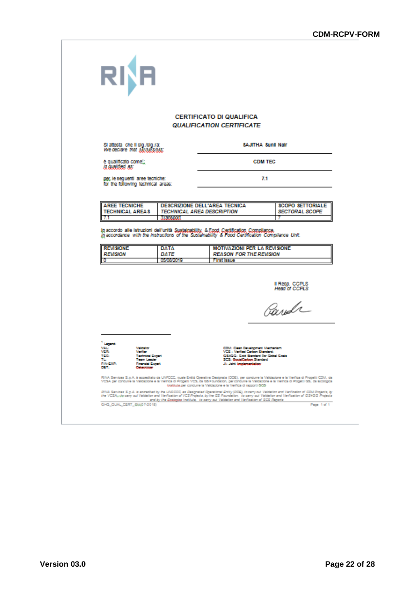|                                                                       |                                                | <b>CERTIFICATO DI QUALIFICA</b>                                                                                                                                                         |                                           |
|-----------------------------------------------------------------------|------------------------------------------------|-----------------------------------------------------------------------------------------------------------------------------------------------------------------------------------------|-------------------------------------------|
|                                                                       |                                                | <b>QUALIFICATION CERTIFICATE</b>                                                                                                                                                        |                                           |
| SI attesta che il sig./sig.ra:<br>We declare that McMfs/Ms:           |                                                |                                                                                                                                                                                         | SAJITHA Sunii Nair                        |
| è qualificato come!;<br>is qualified as:                              |                                                |                                                                                                                                                                                         | <b>CDM TEC</b>                            |
| per, le seguenti aree tecniche:<br>for the following technical areas: |                                                | 7.1                                                                                                                                                                                     |                                           |
|                                                                       |                                                |                                                                                                                                                                                         |                                           |
| <b>AREE TECNICHE</b><br><b>TECHNICAL AREAS</b><br>7.1                 | <b>TECHNICAL AREA DESCRIPTION</b><br>Transport | DESCRIZIONE DELL'AREA TECNICA                                                                                                                                                           | <b>SCOPO SETTORIALE</b><br>SECTORAL SCOPE |
| <b>REVISIONE</b><br><b>REVISION</b><br>٥                              | DATA<br>DATE<br>0508/2019                      | In accordance with the instructions of the Sustainability & Food Certification Compilance Unit.<br><b>MOTIVAZIONI PER LA REVISIONE</b><br><b>REASON FOR THE REVISION</b><br>First Issue |                                           |
|                                                                       |                                                |                                                                                                                                                                                         | Il Resp. CCPLS                            |
|                                                                       |                                                |                                                                                                                                                                                         | Head of CCPLS                             |
|                                                                       |                                                |                                                                                                                                                                                         | Parda                                     |
|                                                                       |                                                |                                                                                                                                                                                         |                                           |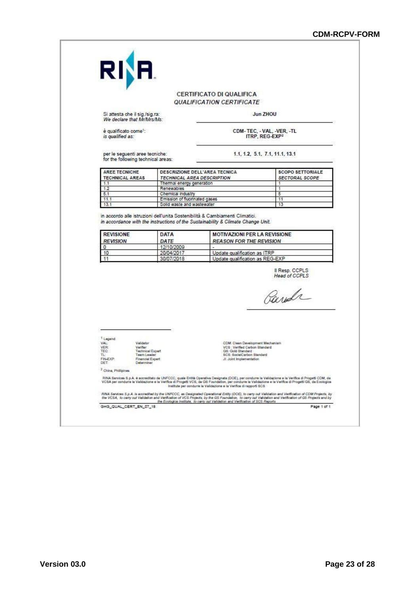|                                                       |                                                                              |                                         | CERTIFICATO DI QUALIFICA<br><i><b>QUALIFICATION CERTIFICATE</b></i>                                           |                                                                                                                                                                                                                                                                                                              |
|-------------------------------------------------------|------------------------------------------------------------------------------|-----------------------------------------|---------------------------------------------------------------------------------------------------------------|--------------------------------------------------------------------------------------------------------------------------------------------------------------------------------------------------------------------------------------------------------------------------------------------------------------|
| Si attesta che il sig./sig.ra:                        | We declare that Mr/Mrs/Ms:                                                   |                                         |                                                                                                               | Jun ZHOU                                                                                                                                                                                                                                                                                                     |
| è qualificato come <sup>1</sup> :<br>is qualified as: |                                                                              |                                         | CDM-TEC, - VAL, -VER, -TL<br>ITRP, REG-EXP2                                                                   |                                                                                                                                                                                                                                                                                                              |
|                                                       | per le seguenti aree tecniche:<br>for the following technical areas:         |                                         |                                                                                                               | 1.1, 1.2, 5.1, 7.1, 11.1, 13.1                                                                                                                                                                                                                                                                               |
| AREE TECNICHE<br><b>TECHNICAL AREAS</b>               |                                                                              |                                         | DESCRIZIONE DELL'AREA TECNICA<br><b>TECHNICAL AREA DESCRIPTION</b>                                            | <b>SCOPO SETTORIALE</b><br><b>SECTORAL SCOPE</b>                                                                                                                                                                                                                                                             |
| 1.1<br>1.2                                            |                                                                              | Thermal energy generation<br>Renewables |                                                                                                               | 1                                                                                                                                                                                                                                                                                                            |
| 5.1                                                   |                                                                              | Chemical industry                       |                                                                                                               | 5                                                                                                                                                                                                                                                                                                            |
| 11.1                                                  |                                                                              | Emission of fluorinated gases           |                                                                                                               | 11                                                                                                                                                                                                                                                                                                           |
| 13.1                                                  |                                                                              | Solid waste and wastewater              |                                                                                                               | 13                                                                                                                                                                                                                                                                                                           |
| 0<br>10                                               |                                                                              | 12/10/2009<br>20/04/2017                | $\overline{a}$<br>Update qualification as ITRP                                                                |                                                                                                                                                                                                                                                                                                              |
| 11                                                    |                                                                              | 30/07/2018                              |                                                                                                               | Update qualification as REG-EXP                                                                                                                                                                                                                                                                              |
|                                                       |                                                                              |                                         |                                                                                                               | <b>Head of CCPLS</b>                                                                                                                                                                                                                                                                                         |
|                                                       |                                                                              |                                         |                                                                                                               | Parda                                                                                                                                                                                                                                                                                                        |
| 1. Legend:<br>VAL<br>VER:<br>TEC:<br>TL-<br>FIN-EXP.  | Validator<br>Verifier<br>Technical Expert<br>Team Leader<br>Financial Expert |                                         | VCS : Verified Carbon Standard<br>GS: Gold Standard<br>SCS: SocialCarbon Standard<br>JI: Joint Implementation | CDM: Clean Development Mechanism                                                                                                                                                                                                                                                                             |
| DET.<br><sup>2</sup> China, Philipines                | Determiner                                                                   |                                         |                                                                                                               |                                                                                                                                                                                                                                                                                                              |
|                                                       |                                                                              |                                         | Institute per condurre la Validazione e la Verifica di rapporti SCS                                           | RINA Services S.p.A. è accreditato da UNFCCC, quale Entità Operativa Designata (DOE), per condume la Validazione e la Verifica di Progetti CDM, da<br>VCSA per condume la Validazione e la Verifica di Progetti VCS, da GS Foundation, per condume la Validazione e la Verifica di Progetti GS, da Ecologica |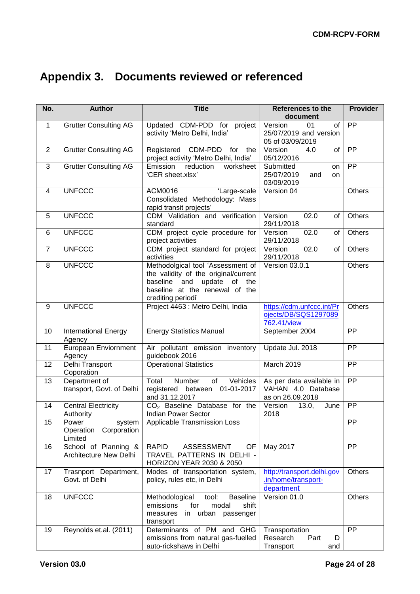# **Appendix 3. Documents reviewed or referenced**

| No.            | <b>Author</b>                                          | <b>Title</b>                                                                                                                                                               | <b>References to the</b><br>document                               | <b>Provider</b> |
|----------------|--------------------------------------------------------|----------------------------------------------------------------------------------------------------------------------------------------------------------------------------|--------------------------------------------------------------------|-----------------|
| $\mathbf{1}$   | <b>Grutter Consulting AG</b>                           | Updated CDM-PDD for project<br>activity 'Metro Delhi, India'                                                                                                               | Version<br>of<br>01<br>25/07/2019 and version<br>05 of 03/09/2019  | PP              |
| $\overline{2}$ | <b>Grutter Consulting AG</b>                           | Registered CDM-PDD for the<br>project activity 'Metro Delhi, India'                                                                                                        | 4.0<br>Version<br>of<br>05/12/2016                                 | $\overline{PP}$ |
| $\overline{3}$ | <b>Grutter Consulting AG</b>                           | reduction<br>worksheet<br>Emission<br>'CER sheet.xlsx'                                                                                                                     | Submitted<br>on<br>25/07/2019<br>and<br><b>on</b><br>03/09/2019    | $\overline{PP}$ |
| 4              | <b>UNFCCC</b>                                          | 'Large-scale<br>ACM0016<br>Consolidated Methodology: Mass<br>rapid transit projects'                                                                                       | Version 04                                                         | Others          |
| 5              | <b>UNFCCC</b>                                          | CDM Validation and verification<br>standard                                                                                                                                | Version<br>02.0<br>of<br>29/11/2018                                | Others          |
| 6              | <b>UNFCCC</b>                                          | CDM project cycle procedure for<br>project activities                                                                                                                      | 02.0<br>Version<br>of<br>29/11/2018                                | Others          |
| $\overline{7}$ | <b>UNFCCC</b>                                          | CDM project standard for project<br>activities                                                                                                                             | 02.0<br>Version<br>of<br>29/11/2018                                | Others          |
| 8              | <b>UNFCCC</b>                                          | Methodolgical tool 'Assessment of<br>the validity of the original/current<br>update<br>baseline<br>and<br>of<br>the<br>baseline at the renewal of the<br>crediting periodî | Version 03.0.1                                                     | <b>Others</b>   |
| 9              | <b>UNFCCC</b>                                          | Project 4463 : Metro Delhi, India                                                                                                                                          | https://cdm.unfccc.int/Pr<br>ojects/DB/SQS1297089<br>762.41/view   | Others          |
| 10             | <b>International Energy</b><br>Agency                  | <b>Energy Statistics Manual</b>                                                                                                                                            | September 2004                                                     | <b>PP</b>       |
| 11             | European Enviornment<br>Agency                         | Air pollutant emission inventory<br>guidebook 2016                                                                                                                         | Update Jul. 2018                                                   | PP              |
| 12             | Delhi Transport<br>Coporation                          | <b>Operational Statistics</b>                                                                                                                                              | March 2019                                                         | $\overline{PP}$ |
| 13             | Department of<br>transport, Govt. of Delhi             | Number<br>of<br>Vehicles<br>Total<br>registered between 01-01-2017<br>and 31.12.2017                                                                                       | As per data available in<br>VAHAN 4.0 Database<br>as on 26.09.2018 | $\overline{PP}$ |
| 14             | <b>Central Electricity</b><br>Authority                | $CO2$ Baseline Database for the<br><b>Indian Power Sector</b>                                                                                                              | Version<br>June<br>13.0,<br>2018                                   | $\overline{PP}$ |
| 15             | Power<br>system<br>Corporation<br>Operation<br>Limited | Applicable Transmission Loss                                                                                                                                               |                                                                    | PP              |
| 16             | School of Planning &<br>Architecture New Delhi         | <b>RAPID</b><br><b>ASSESSMENT</b><br>OF<br>TRAVEL PATTERNS IN DELHI -<br>HORIZON YEAR 2030 & 2050                                                                          | May 2017                                                           | <b>PP</b>       |
| 17             | Trasnport Department,<br>Govt. of Delhi                | Modes of transportation system,<br>policy, rules etc, in Delhi                                                                                                             | http://transport.delhi.gov<br>.in/home/transport-<br>department    | <b>Others</b>   |
| 18             | <b>UNFCCC</b>                                          | <b>Baseline</b><br>Methodological<br>tool:<br>emissions<br>for<br>modal<br>shift<br>in urban<br>measures<br>passenger<br>transport                                         | Version 01.0                                                       | Others          |
| 19             | Reynolds et.al. (2011)                                 | Determinants of PM and GHG<br>emissions from natural gas-fuelled<br>auto-rickshaws in Delhi                                                                                | Transportation<br>Research<br>Part<br>D<br>Transport<br>and        | $\overline{PP}$ |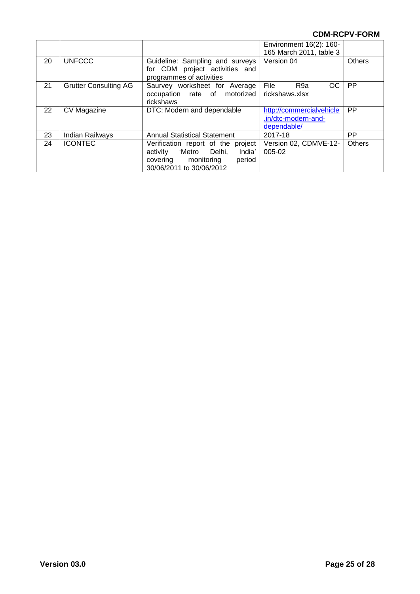|    |                              |                                                                                                                                              | Environment 16(2): 160-<br>165 March 2011, table 3             |           |
|----|------------------------------|----------------------------------------------------------------------------------------------------------------------------------------------|----------------------------------------------------------------|-----------|
| 20 | <b>UNFCCC</b>                | Guideline: Sampling and surveys<br>for CDM project activities and<br>programmes of activities                                                | Version 04                                                     | Others    |
| 21 | <b>Grutter Consulting AG</b> | Saurvey worksheet for Average<br>occupation rate of motorized<br>rickshaws                                                                   | File<br>OC<br>R9a<br>rickshaws.xlsx                            | <b>PP</b> |
| 22 | CV Magazine                  | DTC: Modern and dependable                                                                                                                   | http://commercialvehicle<br>.in/dtc-modern-and-<br>dependable/ | <b>PP</b> |
| 23 | Indian Railways              | <b>Annual Statistical Statement</b>                                                                                                          | 2017-18                                                        | РP        |
| 24 | <b>ICONTEC</b>               | Verification report of the<br>project<br>'Metro Delhi,<br>India'<br>activity<br>monitoring<br>period<br>covering<br>30/06/2011 to 30/06/2012 | Version 02, CDMVE-12-<br>005-02                                | Others    |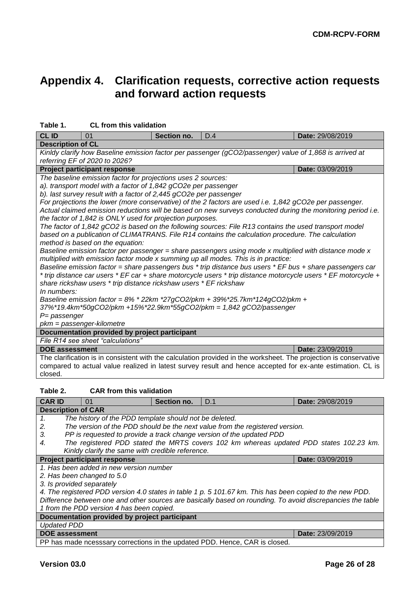## **Appendix 4. Clarification requests, corrective action requests and forward action requests**

| ianic i.                                                                                                                                 | UL IIUIII IIIIS VAIIUALIUII                                                                                 |             |                                                                                                                   |                  |  |  |
|------------------------------------------------------------------------------------------------------------------------------------------|-------------------------------------------------------------------------------------------------------------|-------------|-------------------------------------------------------------------------------------------------------------------|------------------|--|--|
| <b>CLID</b>                                                                                                                              | 01                                                                                                          | Section no. | D.4                                                                                                               | Date: 29/08/2019 |  |  |
| <b>Description of CL</b>                                                                                                                 |                                                                                                             |             |                                                                                                                   |                  |  |  |
| Kinldy clarify how Baseline emission factor per passenger (gCO2/passenger) value of 1,868 is arrived at<br>referring EF of 2020 to 2026? |                                                                                                             |             |                                                                                                                   |                  |  |  |
|                                                                                                                                          | <b>Project participant response</b>                                                                         |             |                                                                                                                   | Date: 03/09/2019 |  |  |
|                                                                                                                                          | The baseline emission factor for projections uses 2 sources:                                                |             |                                                                                                                   |                  |  |  |
|                                                                                                                                          | a). transport model with a factor of 1,842 gCO2e per passenger                                              |             |                                                                                                                   |                  |  |  |
| b). last survey result with a factor of 2,445 gCO2e per passenger                                                                        |                                                                                                             |             |                                                                                                                   |                  |  |  |
|                                                                                                                                          | For projections the lower (more conservative) of the 2 factors are used i.e. 1,842 gCO2e per passenger.     |             |                                                                                                                   |                  |  |  |
|                                                                                                                                          | Actual claimed emission reductions will be based on new surveys conducted during the monitoring period i.e. |             |                                                                                                                   |                  |  |  |
|                                                                                                                                          | the factor of 1,842 is ONLY used for projection purposes.                                                   |             |                                                                                                                   |                  |  |  |
|                                                                                                                                          |                                                                                                             |             | The factor of 1,842 gCO2 is based on the following sources: File R13 contains the used transport model            |                  |  |  |
|                                                                                                                                          |                                                                                                             |             | based on a publication of CLIMATRANS. File R14 contains the calculation procedure. The calculation                |                  |  |  |
|                                                                                                                                          | method is based on the equation:                                                                            |             |                                                                                                                   |                  |  |  |
|                                                                                                                                          |                                                                                                             |             | Baseline emission factor per passenger = share passengers using mode x multiplied with distance mode x            |                  |  |  |
|                                                                                                                                          |                                                                                                             |             | multiplied with emission factor mode x summing up all modes. This is in practice:                                 |                  |  |  |
|                                                                                                                                          |                                                                                                             |             | Baseline emission factor = share passengers bus * trip distance bus users * EF bus + share passengers car         |                  |  |  |
|                                                                                                                                          |                                                                                                             |             | * trip distance car users * EF car + share motorcycle users * trip distance motorcycle users * EF motorcycle +    |                  |  |  |
|                                                                                                                                          | share rickshaw users * trip distance rickshaw users * EF rickshaw                                           |             |                                                                                                                   |                  |  |  |
| In numbers:                                                                                                                              |                                                                                                             |             |                                                                                                                   |                  |  |  |
|                                                                                                                                          |                                                                                                             |             | Baseline emission factor = $8\%$ * 22km *27gCO2/pkm + 39%*25.7km*124gCO2/pkm +                                    |                  |  |  |
|                                                                                                                                          |                                                                                                             |             | 37%*19.4km*50gCO2/pkm +15%*22.9km*55gCO2/pkm = 1,842 gCO2/passenger                                               |                  |  |  |
| $P =$ passenger                                                                                                                          |                                                                                                             |             |                                                                                                                   |                  |  |  |
| pkm = passenger-kilometre                                                                                                                |                                                                                                             |             |                                                                                                                   |                  |  |  |
|                                                                                                                                          | Documentation provided by project participant                                                               |             |                                                                                                                   |                  |  |  |
|                                                                                                                                          | File R14 see sheet "calculations"                                                                           |             |                                                                                                                   |                  |  |  |
| <b>DOE</b> assessment                                                                                                                    |                                                                                                             |             |                                                                                                                   | Date: 23/09/2019 |  |  |
|                                                                                                                                          |                                                                                                             |             | The clarification is in consistent with the calculation provided in the worksheet. The projection is conservative |                  |  |  |
|                                                                                                                                          |                                                                                                             |             | compared to actual value realized in latest survey result and hence accepted for ex-ante estimation. CL is        |                  |  |  |
| closed.                                                                                                                                  |                                                                                                             |             |                                                                                                                   |                  |  |  |
|                                                                                                                                          |                                                                                                             |             |                                                                                                                   |                  |  |  |
| Table 2.                                                                                                                                 | <b>CAR from this validation</b>                                                                             |             |                                                                                                                   |                  |  |  |
| <b>CAR ID</b>                                                                                                                            | 01                                                                                                          | Section no. | D.1                                                                                                               | Date: 29/08/2019 |  |  |
| <b>Description of CAR</b>                                                                                                                |                                                                                                             |             |                                                                                                                   |                  |  |  |
| 1.                                                                                                                                       | The history of the PDD template should not be deleted.                                                      |             |                                                                                                                   |                  |  |  |
| 2.                                                                                                                                       |                                                                                                             |             | The version of the PDD should be the next value from the registered version.                                      |                  |  |  |
| 3.                                                                                                                                       |                                                                                                             |             | PP is requested to provide a track change version of the updated PDD                                              |                  |  |  |
| 4.                                                                                                                                       |                                                                                                             |             | The registered PDD stated the MRTS covers 102 km whereas updated PDD states 102.23 km.                            |                  |  |  |
|                                                                                                                                          | Kinldy clarify the same with credible reference.                                                            |             |                                                                                                                   |                  |  |  |
|                                                                                                                                          | <b>Project participant response</b>                                                                         |             |                                                                                                                   | Date: 03/09/2019 |  |  |
|                                                                                                                                          | 1. Has been added in new version number                                                                     |             |                                                                                                                   |                  |  |  |
|                                                                                                                                          | 2. Has been changed to 5.0                                                                                  |             |                                                                                                                   |                  |  |  |
| 3. Is provided separately                                                                                                                |                                                                                                             |             |                                                                                                                   |                  |  |  |
|                                                                                                                                          |                                                                                                             |             | 4. The registered PDD version 4.0 states in table 1 p. 5 101.67 km. This has been copied to the new PDD.          |                  |  |  |
|                                                                                                                                          |                                                                                                             |             | Difference between one and other sources are basically based on rounding. To avoid discrepancies the table        |                  |  |  |
|                                                                                                                                          | 1 from the PDD version 4 has been copied.                                                                   |             |                                                                                                                   |                  |  |  |
|                                                                                                                                          | Documentation provided by project participant                                                               |             |                                                                                                                   |                  |  |  |
| <b>Updated PDD</b>                                                                                                                       |                                                                                                             |             |                                                                                                                   |                  |  |  |
|                                                                                                                                          |                                                                                                             |             |                                                                                                                   |                  |  |  |

**DOE** assessment **DOE** assessment **D** 

PP has made ncesssary corrections in the updated PDD. Hence, CAR is closed.

#### **Table 1. CL from this validation**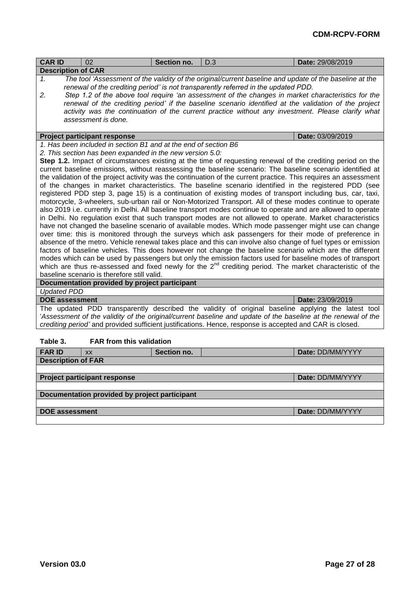| <b>CAR ID</b>                                                                                                                                                                                                                                                                                                                   | 02                                                                                                                                                                                                                                                                                                                                                                                                                                                                                                                                                                                                                                                                                                                                                                                                                                                                                                                                                                                                                                                                                                                                                                                                                                                                                                                                                                     | Section no. | D.3                                                                                                                                                                                                                                                                                                                                                                                                                                                                                                               | Date: 29/08/2019 |
|---------------------------------------------------------------------------------------------------------------------------------------------------------------------------------------------------------------------------------------------------------------------------------------------------------------------------------|------------------------------------------------------------------------------------------------------------------------------------------------------------------------------------------------------------------------------------------------------------------------------------------------------------------------------------------------------------------------------------------------------------------------------------------------------------------------------------------------------------------------------------------------------------------------------------------------------------------------------------------------------------------------------------------------------------------------------------------------------------------------------------------------------------------------------------------------------------------------------------------------------------------------------------------------------------------------------------------------------------------------------------------------------------------------------------------------------------------------------------------------------------------------------------------------------------------------------------------------------------------------------------------------------------------------------------------------------------------------|-------------|-------------------------------------------------------------------------------------------------------------------------------------------------------------------------------------------------------------------------------------------------------------------------------------------------------------------------------------------------------------------------------------------------------------------------------------------------------------------------------------------------------------------|------------------|
| <b>Description of CAR</b>                                                                                                                                                                                                                                                                                                       |                                                                                                                                                                                                                                                                                                                                                                                                                                                                                                                                                                                                                                                                                                                                                                                                                                                                                                                                                                                                                                                                                                                                                                                                                                                                                                                                                                        |             |                                                                                                                                                                                                                                                                                                                                                                                                                                                                                                                   |                  |
| $\mathbf{1}$<br>2.                                                                                                                                                                                                                                                                                                              | assessment is done.                                                                                                                                                                                                                                                                                                                                                                                                                                                                                                                                                                                                                                                                                                                                                                                                                                                                                                                                                                                                                                                                                                                                                                                                                                                                                                                                                    |             | The tool 'Assessment of the validity of the original/current baseline and update of the baseline at the<br>renewal of the crediting period' is not transparently referred in the updated PDD.<br>Step 1.2 of the above tool require 'an assessment of the changes in market characteristics for the<br>renewal of the crediting period' if the baseline scenario identified at the validation of the project<br>activity was the continuation of the current practice without any investment. Please clarify what |                  |
|                                                                                                                                                                                                                                                                                                                                 | <b>Project participant response</b><br>1. Has been included in section B1 and at the end of section B6                                                                                                                                                                                                                                                                                                                                                                                                                                                                                                                                                                                                                                                                                                                                                                                                                                                                                                                                                                                                                                                                                                                                                                                                                                                                 |             |                                                                                                                                                                                                                                                                                                                                                                                                                                                                                                                   | Date: 03/09/2019 |
|                                                                                                                                                                                                                                                                                                                                 | 2. This section has been expanded in the new version 5.0:                                                                                                                                                                                                                                                                                                                                                                                                                                                                                                                                                                                                                                                                                                                                                                                                                                                                                                                                                                                                                                                                                                                                                                                                                                                                                                              |             |                                                                                                                                                                                                                                                                                                                                                                                                                                                                                                                   |                  |
|                                                                                                                                                                                                                                                                                                                                 |                                                                                                                                                                                                                                                                                                                                                                                                                                                                                                                                                                                                                                                                                                                                                                                                                                                                                                                                                                                                                                                                                                                                                                                                                                                                                                                                                                        |             | Step 1.2. Impact of circumstances existing at the time of requesting renewal of the crediting period on the                                                                                                                                                                                                                                                                                                                                                                                                       |                  |
|                                                                                                                                                                                                                                                                                                                                 |                                                                                                                                                                                                                                                                                                                                                                                                                                                                                                                                                                                                                                                                                                                                                                                                                                                                                                                                                                                                                                                                                                                                                                                                                                                                                                                                                                        |             | current baseline emissions, without reassessing the baseline scenario: The baseline scenario identified at                                                                                                                                                                                                                                                                                                                                                                                                        |                  |
| baseline scenario is therefore still valid.                                                                                                                                                                                                                                                                                     | the validation of the project activity was the continuation of the current practice. This requires an assessment<br>of the changes in market characteristics. The baseline scenario identified in the registered PDD (see<br>registered PDD step 3, page 15) is a continuation of existing modes of transport including bus, car, taxi,<br>motorcycle, 3-wheelers, sub-urban rail or Non-Motorized Transport. All of these modes continue to operate<br>also 2019 i.e. currently in Delhi. All baseline transport modes continue to operate and are allowed to operate<br>in Delhi. No regulation exist that such transport modes are not allowed to operate. Market characteristics<br>have not changed the baseline scenario of available modes. Which mode passenger might use can change<br>over time: this is monitored through the surveys which ask passengers for their mode of preference in<br>absence of the metro. Vehicle renewal takes place and this can involve also change of fuel types or emission<br>factors of baseline vehicles. This does however not change the baseline scenario which are the different<br>modes which can be used by passengers but only the emission factors used for baseline modes of transport<br>which are thus re-assessed and fixed newly for the 2 <sup>nd</sup> crediting period. The market characteristic of the |             |                                                                                                                                                                                                                                                                                                                                                                                                                                                                                                                   |                  |
|                                                                                                                                                                                                                                                                                                                                 | Documentation provided by project participant                                                                                                                                                                                                                                                                                                                                                                                                                                                                                                                                                                                                                                                                                                                                                                                                                                                                                                                                                                                                                                                                                                                                                                                                                                                                                                                          |             |                                                                                                                                                                                                                                                                                                                                                                                                                                                                                                                   |                  |
| <b>Updated PDD</b>                                                                                                                                                                                                                                                                                                              |                                                                                                                                                                                                                                                                                                                                                                                                                                                                                                                                                                                                                                                                                                                                                                                                                                                                                                                                                                                                                                                                                                                                                                                                                                                                                                                                                                        |             |                                                                                                                                                                                                                                                                                                                                                                                                                                                                                                                   |                  |
| <b>DOE assessment</b>                                                                                                                                                                                                                                                                                                           |                                                                                                                                                                                                                                                                                                                                                                                                                                                                                                                                                                                                                                                                                                                                                                                                                                                                                                                                                                                                                                                                                                                                                                                                                                                                                                                                                                        |             |                                                                                                                                                                                                                                                                                                                                                                                                                                                                                                                   | Date: 23/09/2019 |
| The updated PDD transparently described the validity of original baseline applying the latest tool<br>'Assessment of the validity of the original/current baseline and update of the baseline at the renewal of the<br>crediting period' and provided sufficient justifications. Hence, response is accepted and CAR is closed. |                                                                                                                                                                                                                                                                                                                                                                                                                                                                                                                                                                                                                                                                                                                                                                                                                                                                                                                                                                                                                                                                                                                                                                                                                                                                                                                                                                        |             |                                                                                                                                                                                                                                                                                                                                                                                                                                                                                                                   |                  |
| Table 3.                                                                                                                                                                                                                                                                                                                        | <b>FAR from this validation</b>                                                                                                                                                                                                                                                                                                                                                                                                                                                                                                                                                                                                                                                                                                                                                                                                                                                                                                                                                                                                                                                                                                                                                                                                                                                                                                                                        |             |                                                                                                                                                                                                                                                                                                                                                                                                                                                                                                                   |                  |
| <b>FAR ID</b>                                                                                                                                                                                                                                                                                                                   | <b>XX</b>                                                                                                                                                                                                                                                                                                                                                                                                                                                                                                                                                                                                                                                                                                                                                                                                                                                                                                                                                                                                                                                                                                                                                                                                                                                                                                                                                              | Section no. |                                                                                                                                                                                                                                                                                                                                                                                                                                                                                                                   | Date: DD/MM/YYYY |
| <b>Description of FAR</b>                                                                                                                                                                                                                                                                                                       |                                                                                                                                                                                                                                                                                                                                                                                                                                                                                                                                                                                                                                                                                                                                                                                                                                                                                                                                                                                                                                                                                                                                                                                                                                                                                                                                                                        |             |                                                                                                                                                                                                                                                                                                                                                                                                                                                                                                                   |                  |
|                                                                                                                                                                                                                                                                                                                                 | <b>Project participant response</b>                                                                                                                                                                                                                                                                                                                                                                                                                                                                                                                                                                                                                                                                                                                                                                                                                                                                                                                                                                                                                                                                                                                                                                                                                                                                                                                                    |             |                                                                                                                                                                                                                                                                                                                                                                                                                                                                                                                   | Date: DD/MM/YYYY |
|                                                                                                                                                                                                                                                                                                                                 | Documentation provided by project participant                                                                                                                                                                                                                                                                                                                                                                                                                                                                                                                                                                                                                                                                                                                                                                                                                                                                                                                                                                                                                                                                                                                                                                                                                                                                                                                          |             |                                                                                                                                                                                                                                                                                                                                                                                                                                                                                                                   |                  |
|                                                                                                                                                                                                                                                                                                                                 |                                                                                                                                                                                                                                                                                                                                                                                                                                                                                                                                                                                                                                                                                                                                                                                                                                                                                                                                                                                                                                                                                                                                                                                                                                                                                                                                                                        |             |                                                                                                                                                                                                                                                                                                                                                                                                                                                                                                                   |                  |
| <b>DOE assessment</b>                                                                                                                                                                                                                                                                                                           |                                                                                                                                                                                                                                                                                                                                                                                                                                                                                                                                                                                                                                                                                                                                                                                                                                                                                                                                                                                                                                                                                                                                                                                                                                                                                                                                                                        |             |                                                                                                                                                                                                                                                                                                                                                                                                                                                                                                                   | Date: DD/MM/YYYY |